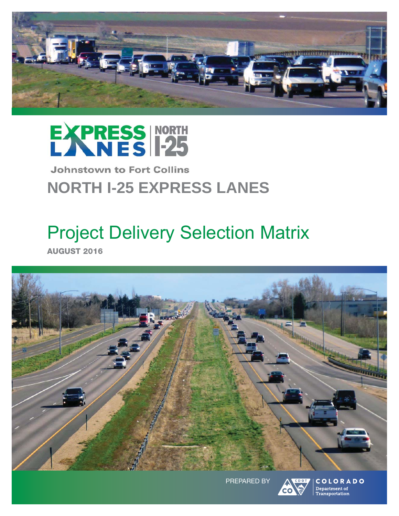



## **Johnstown to Fort Collins NORTH I-25 EXPRESS LANES**

# Project Delivery Selection Matrix

**AUGUST 2016**



PREPARED BY



COLORADO Department of Transportation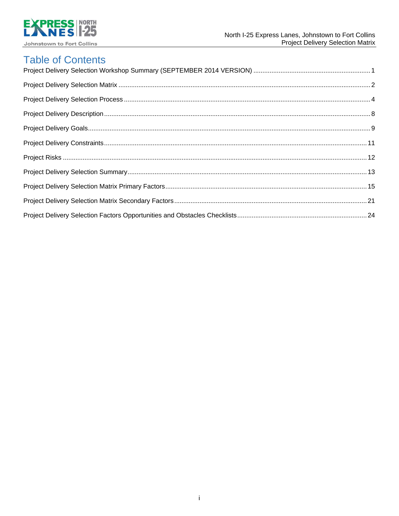

## **Table of Contents**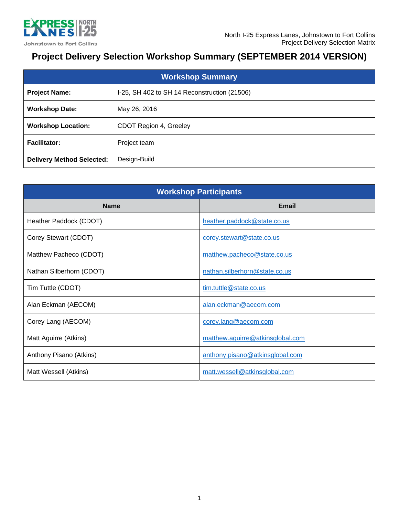

## **Project Delivery Selection Workshop Summary (SEPTEMBER 2014 VERSION)**

| <b>Workshop Summary</b>          |                                              |  |
|----------------------------------|----------------------------------------------|--|
| <b>Project Name:</b>             | I-25, SH 402 to SH 14 Reconstruction (21506) |  |
| <b>Workshop Date:</b>            | May 26, 2016                                 |  |
| <b>Workshop Location:</b>        | CDOT Region 4, Greeley                       |  |
| <b>Facilitator:</b>              | Project team                                 |  |
| <b>Delivery Method Selected:</b> | Design-Build                                 |  |

| <b>Workshop Participants</b> |                                  |  |
|------------------------------|----------------------------------|--|
| <b>Name</b>                  | <b>Email</b>                     |  |
| Heather Paddock (CDOT)       | heather.paddock@state.co.us      |  |
| Corey Stewart (CDOT)         | corey.stewart@state.co.us        |  |
| Matthew Pacheco (CDOT)       | matthew.pacheco@state.co.us      |  |
| Nathan Silberhorn (CDOT)     | nathan.silberhorn@state.co.us    |  |
| Tim Tuttle (CDOT)            | tim.tuttle@state.co.us           |  |
| Alan Eckman (AECOM)          | alan.eckman@aecom.com            |  |
| Corey Lang (AECOM)           | corey.lang@aecom.com             |  |
| Matt Aguirre (Atkins)        | matthew.aguirre@atkinsglobal.com |  |
| Anthony Pisano (Atkins)      | anthony.pisano@atkinsglobal.com  |  |
| Matt Wessell (Atkins)        | matt.wessell@atkinsglobal.com    |  |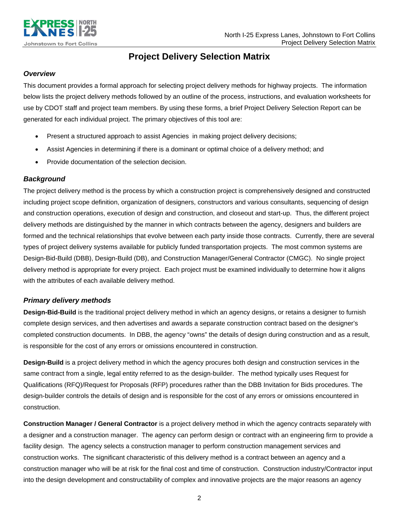

## **Project Delivery Selection Matrix**

### *Overview*

This document provides a formal approach for selecting project delivery methods for highway projects. The information below lists the project delivery methods followed by an outline of the process, instructions, and evaluation worksheets for use by CDOT staff and project team members. By using these forms, a brief Project Delivery Selection Report can be generated for each individual project. The primary objectives of this tool are:

- Present a structured approach to assist Agencies in making project delivery decisions;
- Assist Agencies in determining if there is a dominant or optimal choice of a delivery method; and
- Provide documentation of the selection decision.

### *Background*

The project delivery method is the process by which a construction project is comprehensively designed and constructed including project scope definition, organization of designers, constructors and various consultants, sequencing of design and construction operations, execution of design and construction, and closeout and start-up. Thus, the different project delivery methods are distinguished by the manner in which contracts between the agency, designers and builders are formed and the technical relationships that evolve between each party inside those contracts. Currently, there are several types of project delivery systems available for publicly funded transportation projects. The most common systems are Design-Bid-Build (DBB), Design-Build (DB), and Construction Manager/General Contractor (CMGC). No single project delivery method is appropriate for every project. Each project must be examined individually to determine how it aligns with the attributes of each available delivery method.

### *Primary delivery methods*

**Design-Bid-Build** is the traditional project delivery method in which an agency designs, or retains a designer to furnish complete design services, and then advertises and awards a separate construction contract based on the designer's completed construction documents. In DBB, the agency "owns" the details of design during construction and as a result, is responsible for the cost of any errors or omissions encountered in construction.

**Design-Build** is a project delivery method in which the agency procures both design and construction services in the same contract from a single, legal entity referred to as the design-builder. The method typically uses Request for Qualifications (RFQ)/Request for Proposals (RFP) procedures rather than the DBB Invitation for Bids procedures. The design-builder controls the details of design and is responsible for the cost of any errors or omissions encountered in construction.

**Construction Manager / General Contractor** is a project delivery method in which the agency contracts separately with a designer and a construction manager. The agency can perform design or contract with an engineering firm to provide a facility design. The agency selects a construction manager to perform construction management services and construction works. The significant characteristic of this delivery method is a contract between an agency and a construction manager who will be at risk for the final cost and time of construction. Construction industry/Contractor input into the design development and constructability of complex and innovative projects are the major reasons an agency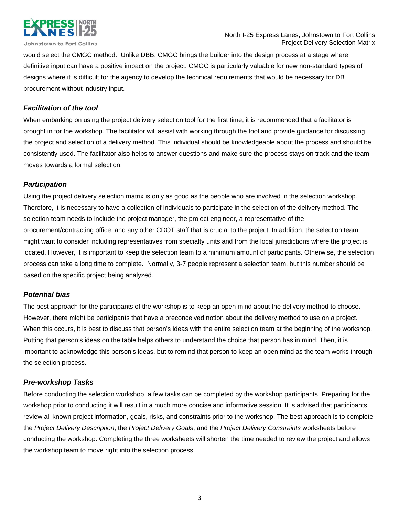

would select the CMGC method. Unlike DBB, CMGC brings the builder into the design process at a stage where definitive input can have a positive impact on the project. CMGC is particularly valuable for new non-standard types of designs where it is difficult for the agency to develop the technical requirements that would be necessary for DB procurement without industry input.

### *Facilitation of the tool*

When embarking on using the project delivery selection tool for the first time, it is recommended that a facilitator is brought in for the workshop. The facilitator will assist with working through the tool and provide guidance for discussing the project and selection of a delivery method. This individual should be knowledgeable about the process and should be consistently used. The facilitator also helps to answer questions and make sure the process stays on track and the team moves towards a formal selection.

### *Participation*

Using the project delivery selection matrix is only as good as the people who are involved in the selection workshop. Therefore, it is necessary to have a collection of individuals to participate in the selection of the delivery method. The selection team needs to include the project manager, the project engineer, a representative of the procurement/contracting office, and any other CDOT staff that is crucial to the project. In addition, the selection team might want to consider including representatives from specialty units and from the local jurisdictions where the project is located. However, it is important to keep the selection team to a minimum amount of participants. Otherwise, the selection process can take a long time to complete. Normally, 3-7 people represent a selection team, but this number should be based on the specific project being analyzed.

### *Potential bias*

The best approach for the participants of the workshop is to keep an open mind about the delivery method to choose. However, there might be participants that have a preconceived notion about the delivery method to use on a project. When this occurs, it is best to discuss that person's ideas with the entire selection team at the beginning of the workshop. Putting that person's ideas on the table helps others to understand the choice that person has in mind. Then, it is important to acknowledge this person's ideas, but to remind that person to keep an open mind as the team works through the selection process.

### *Pre-workshop Tasks*

Before conducting the selection workshop, a few tasks can be completed by the workshop participants. Preparing for the workshop prior to conducting it will result in a much more concise and informative session. It is advised that participants review all known project information, goals, risks, and constraints prior to the workshop. The best approach is to complete the *Project Delivery Description*, the *Project Delivery Goals*, and the *Project Delivery Constraints* worksheets before conducting the workshop. Completing the three worksheets will shorten the time needed to review the project and allows the workshop team to move right into the selection process.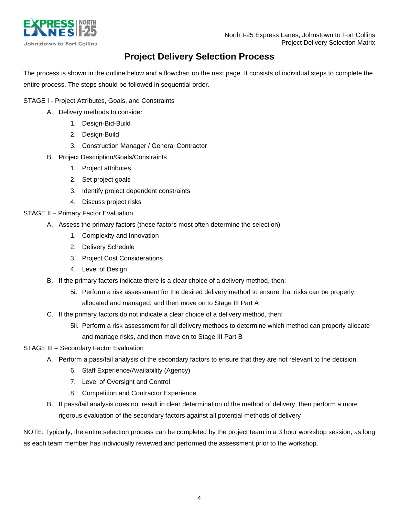

## **Project Delivery Selection Process**

The process is shown in the outline below and a flowchart on the next page. It consists of individual steps to complete the entire process. The steps should be followed in sequential order.

### STAGE I - Project Attributes, Goals, and Constraints

- A. Delivery methods to consider
	- 1. Design-Bid-Build
	- 2. Design-Build
	- 3. Construction Manager / General Contractor
- B. Project Description/Goals/Constraints
	- 1. Project attributes
	- 2. Set project goals
	- 3. Identify project dependent constraints
	- 4. Discuss project risks

### STAGE II – Primary Factor Evaluation

- A. Assess the primary factors (these factors most often determine the selection)
	- 1. Complexity and Innovation
	- 2. Delivery Schedule
	- 3. Project Cost Considerations
	- 4. Level of Design
- B. If the primary factors indicate there is a clear choice of a delivery method, then:
	- 5i. Perform a risk assessment for the desired delivery method to ensure that risks can be properly allocated and managed, and then move on to Stage III Part A
- C. If the primary factors do not indicate a clear choice of a delivery method, then:
	- 5ii. Perform a risk assessment for all delivery methods to determine which method can properly allocate and manage risks, and then move on to Stage III Part B

### STAGE III – Secondary Factor Evaluation

- A. Perform a pass/fail analysis of the secondary factors to ensure that they are not relevant to the decision.
	- 6. Staff Experience/Availability (Agency)
	- 7. Level of Oversight and Control
	- 8. Competition and Contractor Experience
- B. If pass/fail analysis does not result in clear determination of the method of delivery, then perform a more rigorous evaluation of the secondary factors against all potential methods of delivery

NOTE: Typically, the entire selection process can be completed by the project team in a 3 hour workshop session, as long as each team member has individually reviewed and performed the assessment prior to the workshop.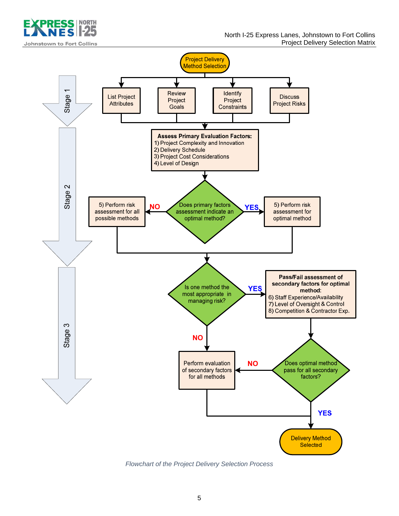



*Flowchart of the Project Delivery Selection Process*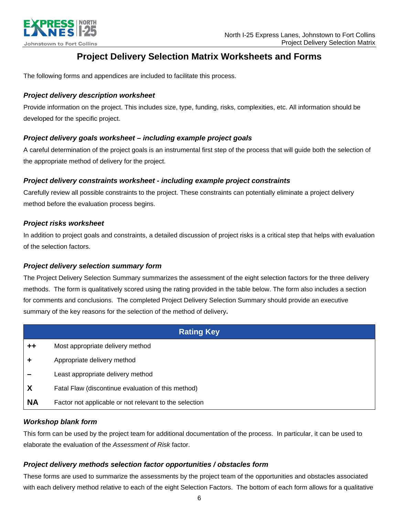

## **Project Delivery Selection Matrix Worksheets and Forms**

The following forms and appendices are included to facilitate this process.

### *Project delivery description worksheet*

Provide information on the project. This includes size, type, funding, risks, complexities, etc. All information should be developed for the specific project.

### *Project delivery goals worksheet – including example project goals*

A careful determination of the project goals is an instrumental first step of the process that will guide both the selection of the appropriate method of delivery for the project.

### *Project delivery constraints worksheet - including example project constraints*

Carefully review all possible constraints to the project. These constraints can potentially eliminate a project delivery method before the evaluation process begins.

### *Project risks worksheet*

In addition to project goals and constraints, a detailed discussion of project risks is a critical step that helps with evaluation of the selection factors.

### *Project delivery selection summary form*

The Project Delivery Selection Summary summarizes the assessment of the eight selection factors for the three delivery methods. The form is qualitatively scored using the rating provided in the table below. The form also includes a section for comments and conclusions.The completed Project Delivery Selection Summary should provide an executive summary of the key reasons for the selection of the method of delivery**.** 

| <b>Rating Key</b> |                                                        |  |
|-------------------|--------------------------------------------------------|--|
| $+ +$             | Most appropriate delivery method                       |  |
|                   | Appropriate delivery method                            |  |
|                   | Least appropriate delivery method                      |  |
| X                 | Fatal Flaw (discontinue evaluation of this method)     |  |
| <b>NA</b>         | Factor not applicable or not relevant to the selection |  |

### *Workshop blank form*

This form can be used by the project team for additional documentation of the process. In particular, it can be used to elaborate the evaluation of the *Assessment of Risk* factor.

### *Project delivery methods selection factor opportunities / obstacles form*

These forms are used to summarize the assessments by the project team of the opportunities and obstacles associated with each delivery method relative to each of the eight Selection Factors. The bottom of each form allows for a qualitative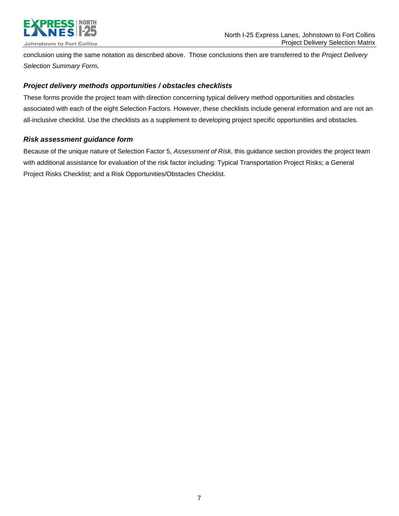

conclusion using the same notation as described above. Those conclusions then are transferred to the *Project Delivery Selection Summary Form***.** 

### *Project delivery methods opportunities / obstacles checklists*

These forms provide the project team with direction concerning typical delivery method opportunities and obstacles associated with each of the eight Selection Factors. However, these checklists include general information and are not an all-inclusive checklist. Use the checklists as a supplement to developing project specific opportunities and obstacles.

### *Risk assessment guidance form*

Because of the unique nature of Selection Factor 5, *Assessment of Risk*, this guidance section provides the project team with additional assistance for evaluation of the risk factor including: Typical Transportation Project Risks; a General Project Risks Checklist; and a Risk Opportunities/Obstacles Checklist.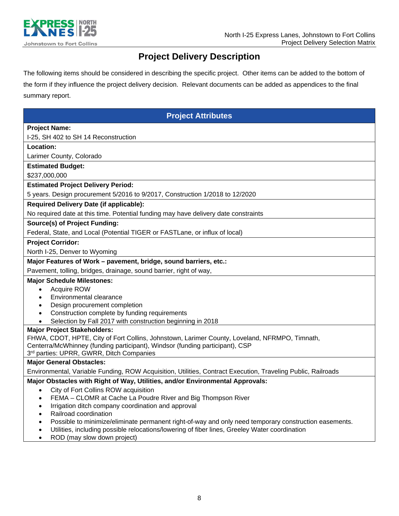

## **Project Delivery Description**

The following items should be considered in describing the specific project. Other items can be added to the bottom of the form if they influence the project delivery decision. Relevant documents can be added as appendices to the final summary report.

### **Project Attributes**

### **Project Name:**

I-25, SH 402 to SH 14 Reconstruction

**Location:** 

Larimer County, Colorado

#### **Estimated Budget:**

\$237,000,000

### **Estimated Project Delivery Period:**

5 years. Design procurement 5/2016 to 9/2017, Construction 1/2018 to 12/2020

### **Required Delivery Date (if applicable):**

No required date at this time. Potential funding may have delivery date constraints

### **Source(s) of Project Funding:**

Federal, State, and Local (Potential TIGER or FASTLane, or influx of local)

### **Project Corridor:**

North I-25, Denver to Wyoming

### **Major Features of Work – pavement, bridge, sound barriers, etc.:**

Pavement, tolling, bridges, drainage, sound barrier, right of way,

### **Major Schedule Milestones:**

### Acquire ROW

- Environmental clearance
- Design procurement completion
- Construction complete by funding requirements
- Selection by Fall 2017 with construction beginning in 2018

### **Major Project Stakeholders:**

FHWA, CDOT, HPTE, City of Fort Collins, Johnstown, Larimer County, Loveland, NFRMPO, Timnath, Centerra/McWhinney (funding participant), Windsor (funding participant), CSP

3<sup>rd</sup> parties: UPRR, GWRR, Ditch Companies

### **Major General Obstacles:**

Environmental, Variable Funding, ROW Acquisition, Utilities, Contract Execution, Traveling Public, Railroads

### **Major Obstacles with Right of Way, Utilities, and/or Environmental Approvals:**

- City of Fort Collins ROW acquisition
- FEMA CLOMR at Cache La Poudre River and Big Thompson River
- Irrigation ditch company coordination and approval
- Railroad coordination
- Possible to minimize/eliminate permanent right-of-way and only need temporary construction easements.
- Utilities, including possible relocations/lowering of fiber lines, Greeley Water coordination
- ROD (may slow down project)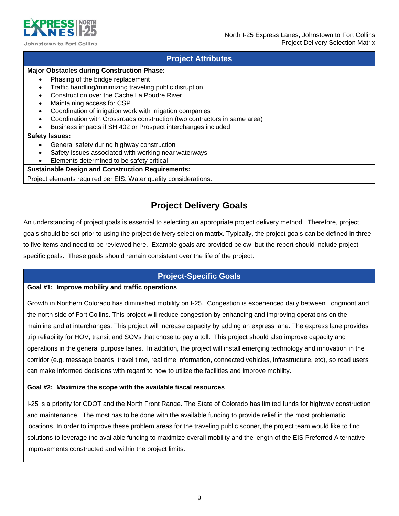

### **Project Attributes**

### **Major Obstacles during Construction Phase:**

- Phasing of the bridge replacement
- Traffic handling/minimizing traveling public disruption
- Construction over the Cache La Poudre River
- Maintaining access for CSP
- Coordination of irrigation work with irrigation companies
- Coordination with Crossroads construction (two contractors in same area)
- Business impacts if SH 402 or Prospect interchanges included

### **Safety Issues:**

- General safety during highway construction
- Safety issues associated with working near waterways
- Elements determined to be safety critical

### **Sustainable Design and Construction Requirements:**

Project elements required per EIS. Water quality considerations.

## **Project Delivery Goals**

An understanding of project goals is essential to selecting an appropriate project delivery method. Therefore, project goals should be set prior to using the project delivery selection matrix. Typically, the project goals can be defined in three to five items and need to be reviewed here. Example goals are provided below, but the report should include projectspecific goals. These goals should remain consistent over the life of the project.

### **Project-Specific Goals**

### **Goal #1: Improve mobility and traffic operations**

Growth in Northern Colorado has diminished mobility on I-25. Congestion is experienced daily between Longmont and the north side of Fort Collins. This project will reduce congestion by enhancing and improving operations on the mainline and at interchanges. This project will increase capacity by adding an express lane. The express lane provides trip reliability for HOV, transit and SOVs that chose to pay a toll. This project should also improve capacity and operations in the general purpose lanes. In addition, the project will install emerging technology and innovation in the corridor (e.g. message boards, travel time, real time information, connected vehicles, infrastructure, etc), so road users can make informed decisions with regard to how to utilize the facilities and improve mobility.

### **Goal #2: Maximize the scope with the available fiscal resources**

I-25 is a priority for CDOT and the North Front Range. The State of Colorado has limited funds for highway construction and maintenance. The most has to be done with the available funding to provide relief in the most problematic locations. In order to improve these problem areas for the traveling public sooner, the project team would like to find solutions to leverage the available funding to maximize overall mobility and the length of the EIS Preferred Alternative improvements constructed and within the project limits.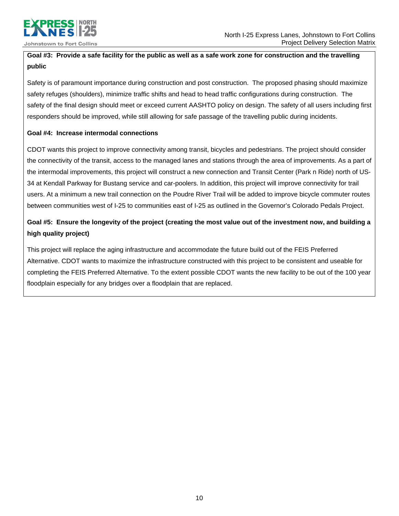

### **Goal #3: Provide a safe facility for the public as well as a safe work zone for construction and the travelling public**

Safety is of paramount importance during construction and post construction. The proposed phasing should maximize safety refuges (shoulders), minimize traffic shifts and head to head traffic configurations during construction. The safety of the final design should meet or exceed current AASHTO policy on design. The safety of all users including first responders should be improved, while still allowing for safe passage of the travelling public during incidents.

### **Goal #4: Increase intermodal connections**

CDOT wants this project to improve connectivity among transit, bicycles and pedestrians. The project should consider the connectivity of the transit, access to the managed lanes and stations through the area of improvements. As a part of the intermodal improvements, this project will construct a new connection and Transit Center (Park n Ride) north of US-34 at Kendall Parkway for Bustang service and car-poolers. In addition, this project will improve connectivity for trail users. At a minimum a new trail connection on the Poudre River Trail will be added to improve bicycle commuter routes between communities west of I-25 to communities east of I-25 as outlined in the Governor's Colorado Pedals Project.

## **Goal #5: Ensure the longevity of the project (creating the most value out of the investment now, and building a high quality project)**

This project will replace the aging infrastructure and accommodate the future build out of the FEIS Preferred Alternative. CDOT wants to maximize the infrastructure constructed with this project to be consistent and useable for completing the FEIS Preferred Alternative. To the extent possible CDOT wants the new facility to be out of the 100 year floodplain especially for any bridges over a floodplain that are replaced.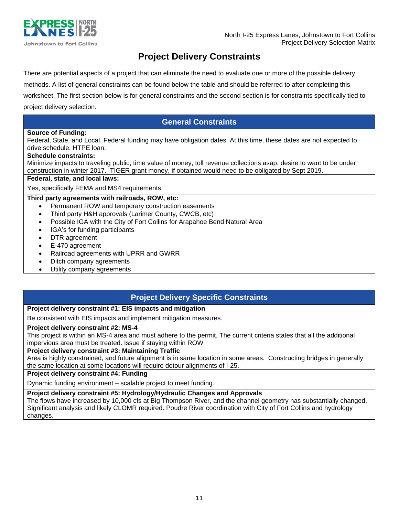

## **Project Delivery Constraints**

There are potential aspects of a project that can eliminate the need to evaluate one or more of the possible delivery

methods. A list of general constraints can be found below the table and should be referred to after completing this

worksheet. The first section below is for general constraints and the second section is for constraints specifically tied to project delivery selection.

### **General Constraints**

### **Source of Funding:**

Federal, State, and Local. Federal funding may have obligation dates. At this time, these dates are not expected to drive schedule. HTPE loan.

### **Schedule constraints:**

Minimize impacts to traveling public, time value of money, toll revenue collections asap, desire to want to be under construction in winter 2017. TIGER grant money, if obtained would need to be obligated by Sept 2019.

### **Federal, state, and local laws:**

Yes, specifically FEMA and MS4 requirements

### **Third party agreements with railroads, ROW, etc:**

- Permanent ROW and temporary construction easements
- Third party H&H approvals (Larimer County, CWCB, etc)
- Possible IGA with the City of Fort Collins for Arapahoe Bend Natural Area
- IGA's for funding participants
- DTR agreement
- E-470 agreement
- Railroad agreements with UPRR and GWRR
- Ditch company agreements
- Utility company agreements

### **Project Delivery Specific Constraints**

### **Project delivery constraint #1: EIS impacts and mitigation**

Be consistent with EIS impacts and implement mitigation measures.

### **Project delivery constraint #2: MS-4**

This project is within an MS-4 area and must adhere to the permit. The current criteria states that all the additional impervious area must be treated. Issue if staying within ROW

### **Project delivery constraint #3: Maintaining Traffic**

Area is highly constrained, and future alignment is in same location in some areas. Constructing bridges in generally the same location at some locations will require detour alignments of I-25.

### **Project delivery constraint #4: Funding**

Dynamic funding environment – scalable project to meet funding.

### **Project delivery constraint #5: Hydrology/Hydraulic Changes and Approvals**

The flows have increased by 10,000 cfs at Big Thompson River, and the channel geometry has substantially changed. Significant analysis and likely CLOMR required. Poudre River coordination with City of Fort Collins and hydrology changes.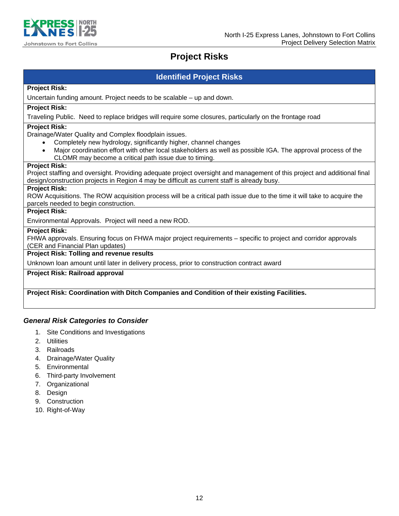

## **Project Risks**

### **Identified Project Risks**

### **Project Risk:**

Uncertain funding amount. Project needs to be scalable – up and down.

### **Project Risk:**

Traveling Public. Need to replace bridges will require some closures, particularly on the frontage road

### **Project Risk:**

Drainage/Water Quality and Complex floodplain issues.

- Completely new hydrology, significantly higher, channel changes
- Major coordination effort with other local stakeholders as well as possible IGA. The approval process of the CLOMR may become a critical path issue due to timing.

### **Project Risk:**

Project staffing and oversight. Providing adequate project oversight and management of this project and additional final design/construction projects in Region 4 may be difficult as current staff is already busy.

### **Project Risk:**

ROW Acquisitions. The ROW acquisition process will be a critical path issue due to the time it will take to acquire the parcels needed to begin construction.

### **Project Risk:**

Environmental Approvals. Project will need a new ROD.

### **Project Risk:**

FHWA approvals. Ensuring focus on FHWA major project requirements – specific to project and corridor approvals (CER and Financial Plan updates)

### **Project Risk: Tolling and revenue results**

Unknown loan amount until later in delivery process, prior to construction contract award

### **Project Risk: Railroad approval**

**Project Risk: Coordination with Ditch Companies and Condition of their existing Facilities.** 

### *General Risk Categories to Consider*

- 1. Site Conditions and Investigations
- 2. Utilities
- 3. Railroads
- 4. Drainage/Water Quality
- 5. Environmental
- 6. Third-party Involvement
- 7. Organizational
- 8. Design
- 9. Construction
- 10. Right-of-Way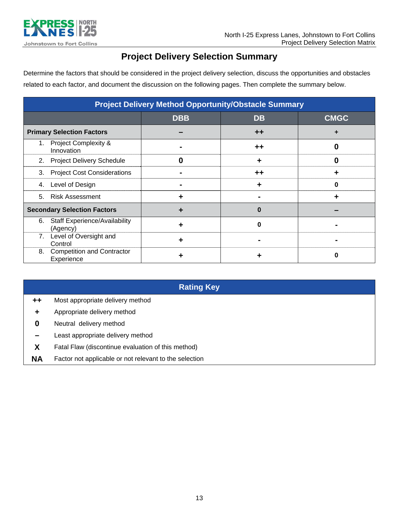

## **Project Delivery Selection Summary**

Determine the factors that should be considered in the project delivery selection, discuss the opportunities and obstacles related to each factor, and document the discussion on the following pages. Then complete the summary below.

| <b>Project Delivery Method Opportunity/Obstacle Summary</b> |                                                  |            |                 |             |
|-------------------------------------------------------------|--------------------------------------------------|------------|-----------------|-------------|
|                                                             |                                                  | <b>DBB</b> | <b>DB</b>       | <b>CMGC</b> |
|                                                             | <b>Primary Selection Factors</b>                 |            | $^{\mathrm{+}}$ | ÷           |
| 1.                                                          | <b>Project Complexity &amp;</b><br>Innovation    |            | $^{\mathrm{+}}$ | O           |
| 2.                                                          | <b>Project Delivery Schedule</b>                 | 0          | ٠               | 0           |
| 3.                                                          | <b>Project Cost Considerations</b>               |            | ++              | ╈           |
| 4.                                                          | Level of Design                                  |            |                 | 0           |
| 5.                                                          | <b>Risk Assessment</b>                           | ٠          |                 | ٠           |
|                                                             | <b>Secondary Selection Factors</b>               | ٠          | Ω               |             |
| 6.                                                          | <b>Staff Experience/Availability</b><br>(Agency) |            | O               |             |
| 7.                                                          | Level of Oversight and<br>Control                | ٠          |                 |             |
| 8.                                                          | <b>Competition and Contractor</b><br>Experience  |            |                 | 0           |

**Rating Key** 

| ++                   | Most appropriate delivery method                       |
|----------------------|--------------------------------------------------------|
| $\ddot{\phantom{1}}$ | Appropriate delivery method                            |
| 0                    | Neutral delivery method                                |
| -                    | Least appropriate delivery method                      |
| X                    | Fatal Flaw (discontinue evaluation of this method)     |
| <b>NA</b>            | Factor not applicable or not relevant to the selection |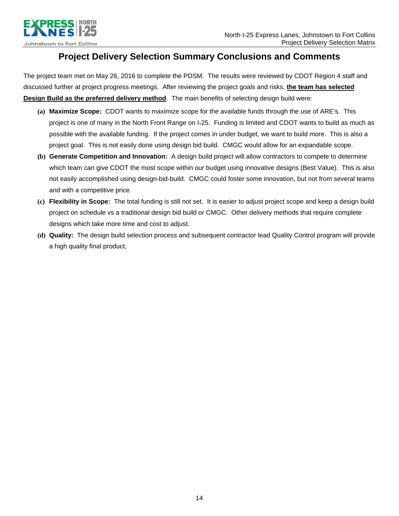

## **Project Delivery Selection Summary Conclusions and Comments**

The project team met on May 26, 2016 to complete the PDSM. The results were reviewed by CDOT Region 4 staff and discussed further at project progress meetings. After reviewing the project goals and risks, **the team has selected Design Build as the preferred delivery method**. The main benefits of selecting design build were:

- **(a) Maximize Scope:** CDOT wants to maximize scope for the available funds through the use of ARE's. This project is one of many in the North Front Range on I-25. Funding is limited and CDOT wants to build as much as possible with the available funding. If the project comes in under budget, we want to build more. This is also a project goal. This is not easily done using design bid build. CMGC would allow for an expandable scope.
- **(b) Generate Competition and Innovation:** A design build project will allow contractors to compete to determine which team can give CDOT the most scope within our budget using innovative designs (Best Value). This is also not easily accomplished using design-bid-build. CMGC could foster some innovation, but not from several teams and with a competitive price.
- **(c) Flexibility in Scope:** The total funding is still not set. It is easier to adjust project scope and keep a design build project on schedule vs a traditional design bid build or CMGC. Other delivery methods that require complete designs which take more time and cost to adjust.
- **(d) Quality:** The design build selection process and subsequent contractor lead Quality Control program will provide a high quality final product,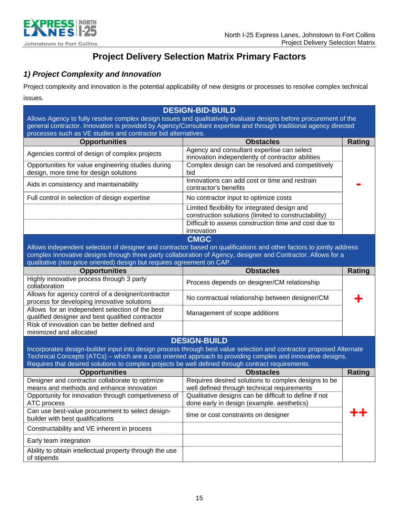

## **Project Delivery Selection Matrix Primary Factors**

## *1) Project Complexity and Innovation*

Project complexity and innovation is the potential applicability of new designs or processes to resolve complex technical issues.

| <b>DESIGN-BID-BUILD</b><br>Allows Agency to fully resolve complex design issues and qualitatively evaluate designs before procurement of the<br>general contractor. Innovation is provided by Agency/Consultant expertise and through traditional agency directed<br>processes such as VE studies and contractor bid alternatives. |                                                                                                                                                                                                                                                      |               |
|------------------------------------------------------------------------------------------------------------------------------------------------------------------------------------------------------------------------------------------------------------------------------------------------------------------------------------|------------------------------------------------------------------------------------------------------------------------------------------------------------------------------------------------------------------------------------------------------|---------------|
| <b>Opportunities</b>                                                                                                                                                                                                                                                                                                               | <b>Obstacles</b>                                                                                                                                                                                                                                     | <b>Rating</b> |
| Agencies control of design of complex projects                                                                                                                                                                                                                                                                                     | Agency and consultant expertise can select<br>innovation independently of contractor abilities                                                                                                                                                       |               |
| Opportunities for value engineering studies during<br>design, more time for design solutions                                                                                                                                                                                                                                       | Complex design can be resolved and competitively<br>bid                                                                                                                                                                                              |               |
| Aids in consistency and maintainability                                                                                                                                                                                                                                                                                            | Innovations can add cost or time and restrain<br>contractor's benefits                                                                                                                                                                               |               |
| Full control in selection of design expertise                                                                                                                                                                                                                                                                                      | No contractor input to optimize costs                                                                                                                                                                                                                |               |
|                                                                                                                                                                                                                                                                                                                                    | Limited flexibility for integrated design and<br>construction solutions (limited to constructability)<br>Difficult to assess construction time and cost due to<br>innovation                                                                         |               |
| qualitative (non-price oriented) design but requires agreement on CAP.                                                                                                                                                                                                                                                             | <b>CMGC</b><br>Allows independent selection of designer and contractor based on qualifications and other factors to jointly address<br>complex innovative designs through three party collaboration of Agency, designer and Contractor. Allows for a |               |
| <b>Opportunities</b>                                                                                                                                                                                                                                                                                                               | <b>Obstacles</b>                                                                                                                                                                                                                                     | Rating        |
| Highly innovative process through 3 party<br>collaboration                                                                                                                                                                                                                                                                         | Process depends on designer/CM relationship                                                                                                                                                                                                          |               |
| Allows for agency control of a designer/contractor<br>process for developing innovative solutions                                                                                                                                                                                                                                  | No contractual relationship between designer/CM                                                                                                                                                                                                      |               |
| Allows for an independent selection of the best<br>qualified designer and best qualified contractor                                                                                                                                                                                                                                | Management of scope additions                                                                                                                                                                                                                        |               |
| Risk of innovation can be better defined and<br>minimized and allocated                                                                                                                                                                                                                                                            |                                                                                                                                                                                                                                                      |               |
|                                                                                                                                                                                                                                                                                                                                    | <b>DESIGN-BUILD</b>                                                                                                                                                                                                                                  |               |
| Requires that desired solutions to complex projects be well defined through contract requirements.                                                                                                                                                                                                                                 | Incorporates design-builder input into design process through best value selection and contractor proposed Alternate<br>Technical Concepts (ATCs) - which are a cost oriented approach to providing complex and innovative designs.                  |               |
| <b>Opportunities</b>                                                                                                                                                                                                                                                                                                               | <b>Obstacles</b>                                                                                                                                                                                                                                     | <b>Rating</b> |
| Designer and contractor collaborate to optimize<br>means and methods and enhance innovation                                                                                                                                                                                                                                        | Requires desired solutions to complex designs to be<br>well defined through technical requirements                                                                                                                                                   |               |
| Opportunity for innovation through competiveness of<br>ATC process                                                                                                                                                                                                                                                                 | Qualitative designs can be difficult to define if not<br>done early in design (example. aesthetics)                                                                                                                                                  |               |
| Can use best-value procurement to select design-<br>builder with best qualifications                                                                                                                                                                                                                                               | time or cost constraints on designer                                                                                                                                                                                                                 |               |
| Constructability and VE inherent in process                                                                                                                                                                                                                                                                                        |                                                                                                                                                                                                                                                      |               |
| Early team integration                                                                                                                                                                                                                                                                                                             |                                                                                                                                                                                                                                                      |               |
| Ability to obtain intellectual property through the use<br>of stipends                                                                                                                                                                                                                                                             |                                                                                                                                                                                                                                                      |               |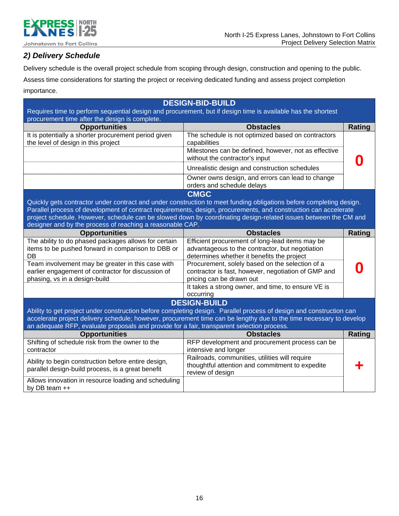

## *2) Delivery Schedule*

Delivery schedule is the overall project schedule from scoping through design, construction and opening to the public.

Assess time considerations for starting the project or receiving dedicated funding and assess project completion

importance.

| <b>DESIGN-BID-BUILD</b>                                                                                      |                                                                                                                     |               |
|--------------------------------------------------------------------------------------------------------------|---------------------------------------------------------------------------------------------------------------------|---------------|
| Requires time to perform sequential design and procurement, but if design time is available has the shortest |                                                                                                                     |               |
| procurement time after the design is complete.                                                               |                                                                                                                     |               |
| <b>Opportunities</b>                                                                                         | <b>Obstacles</b>                                                                                                    | <b>Rating</b> |
| It is potentially a shorter procurement period given                                                         | The schedule is not optimized based on contractors                                                                  |               |
| the level of design in this project                                                                          | capabilities                                                                                                        |               |
|                                                                                                              | Milestones can be defined, however, not as effective<br>without the contractor's input                              |               |
|                                                                                                              | Unrealistic design and construction schedules                                                                       |               |
|                                                                                                              | Owner owns design, and errors can lead to change<br>orders and schedule delays                                      |               |
|                                                                                                              | <b>CMGC</b>                                                                                                         |               |
|                                                                                                              | Quickly gets contractor under contract and under construction to meet funding obligations before completing design. |               |
|                                                                                                              | Parallel process of development of contract requirements, design, procurements, and construction can accelerate     |               |
|                                                                                                              | project schedule. However, schedule can be slowed down by coordinating design-related issues between the CM and     |               |
| designer and by the process of reaching a reasonable CAP.                                                    |                                                                                                                     |               |
| <b>Opportunities</b>                                                                                         | <b>Obstacles</b>                                                                                                    | <b>Rating</b> |
| The ability to do phased packages allows for certain                                                         | Efficient procurement of long-lead items may be                                                                     |               |
| items to be pushed forward in comparison to DBB or                                                           | advantageous to the contractor, but negotiation                                                                     |               |
| DB                                                                                                           | determines whether it benefits the project                                                                          |               |
| Team involvement may be greater in this case with                                                            | Procurement, solely based on the selection of a                                                                     |               |
| earlier engagement of contractor for discussion of                                                           | contractor is fast, however, negotiation of GMP and                                                                 |               |
| phasing, vs in a design-build                                                                                | pricing can be drawn out                                                                                            |               |
|                                                                                                              | It takes a strong owner, and time, to ensure VE is                                                                  |               |
|                                                                                                              | occurring                                                                                                           |               |
|                                                                                                              | <b>DESIGN-BUILD</b>                                                                                                 |               |
|                                                                                                              | Ability to get project under construction before completing design. Parallel process of design and construction can |               |
|                                                                                                              | accelerate project delivery schedule; however, procurement time can be lengthy due to the time necessary to develop |               |
| an adequate RFP, evaluate proposals and provide for a fair, transparent selection process.                   |                                                                                                                     |               |
| <b>Opportunities</b>                                                                                         | <b>Obstacles</b>                                                                                                    | <b>Rating</b> |
| Shifting of schedule risk from the owner to the                                                              | RFP development and procurement process can be                                                                      |               |
| contractor                                                                                                   | intensive and longer                                                                                                |               |
| Ability to begin construction before entire design,                                                          | Railroads, communities, utilities will require                                                                      |               |
| parallel design-build process, is a great benefit                                                            | thoughtful attention and commitment to expedite                                                                     |               |
|                                                                                                              | review of design                                                                                                    |               |
| Allows innovation in resource loading and scheduling                                                         |                                                                                                                     |               |
| by DB team ++                                                                                                |                                                                                                                     |               |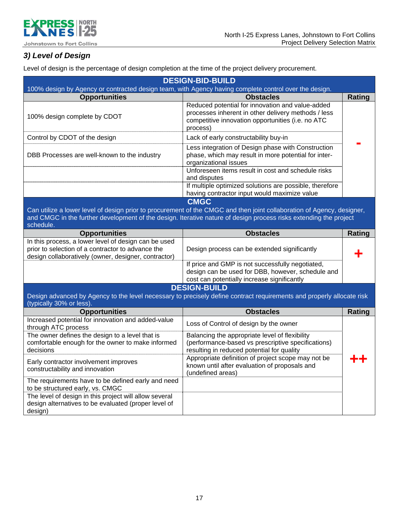

## *3) Level of Design*

Level of design is the percentage of design completion at the time of the project delivery procurement.

| <b>DESIGN-BID-BUILD</b>                                                                                                                                           |                                                                                                                                                                                                                                             |               |
|-------------------------------------------------------------------------------------------------------------------------------------------------------------------|---------------------------------------------------------------------------------------------------------------------------------------------------------------------------------------------------------------------------------------------|---------------|
| 100% design by Agency or contracted design team, with Agency having complete control over the design.                                                             |                                                                                                                                                                                                                                             |               |
| <b>Opportunities</b>                                                                                                                                              | <b>Obstacles</b>                                                                                                                                                                                                                            | <b>Rating</b> |
| 100% design complete by CDOT                                                                                                                                      | Reduced potential for innovation and value-added<br>processes inherent in other delivery methods / less<br>competitive innovation opportunities (i.e. no ATC<br>process)                                                                    |               |
| Control by CDOT of the design                                                                                                                                     | Lack of early constructability buy-in                                                                                                                                                                                                       |               |
| DBB Processes are well-known to the industry                                                                                                                      | Less integration of Design phase with Construction<br>phase, which may result in more potential for inter-<br>organizational issues                                                                                                         |               |
|                                                                                                                                                                   | Unforeseen items result in cost and schedule risks<br>and disputes                                                                                                                                                                          |               |
|                                                                                                                                                                   | If multiple optimized solutions are possible, therefore                                                                                                                                                                                     |               |
|                                                                                                                                                                   | having contractor input would maximize value<br><b>CMGC</b>                                                                                                                                                                                 |               |
| schedule.                                                                                                                                                         | Can utilize a lower level of design prior to procurement of the CMGC and then joint collaboration of Agency, designer,<br>and CMGC in the further development of the design. Iterative nature of design process risks extending the project |               |
| <b>Opportunities</b>                                                                                                                                              | <b>Obstacles</b>                                                                                                                                                                                                                            | <b>Rating</b> |
| In this process, a lower level of design can be used<br>prior to selection of a contractor to advance the<br>design collaboratively (owner, designer, contractor) | Design process can be extended significantly                                                                                                                                                                                                |               |
|                                                                                                                                                                   | If price and GMP is not successfully negotiated,<br>design can be used for DBB, however, schedule and<br>cost can potentially increase significantly                                                                                        |               |
|                                                                                                                                                                   | <b>DESIGN-BUILD</b>                                                                                                                                                                                                                         |               |
| (typically 30% or less)                                                                                                                                           | Design advanced by Agency to the level necessary to precisely define contract requirements and properly allocate risk                                                                                                                       |               |
| <b>Opportunities</b>                                                                                                                                              | <b>Obstacles</b>                                                                                                                                                                                                                            | <b>Rating</b> |
| Increased potential for innovation and added-value<br>through ATC process                                                                                         | Loss of Control of design by the owner                                                                                                                                                                                                      |               |
| The owner defines the design to a level that is<br>comfortable enough for the owner to make informed<br>decisions                                                 | Balancing the appropriate level of flexibility<br>(performance-based vs prescriptive specifications)<br>resulting in reduced potential for quality                                                                                          |               |
| Early contractor involvement improves<br>constructability and innovation                                                                                          | Appropriate definition of project scope may not be<br>known until after evaluation of proposals and<br>(undefined areas)                                                                                                                    |               |
| The requirements have to be defined early and need<br>to be structured early, vs. CMGC                                                                            |                                                                                                                                                                                                                                             |               |
| The level of design in this project will allow several<br>design alternatives to be evaluated (proper level of<br>design)                                         |                                                                                                                                                                                                                                             |               |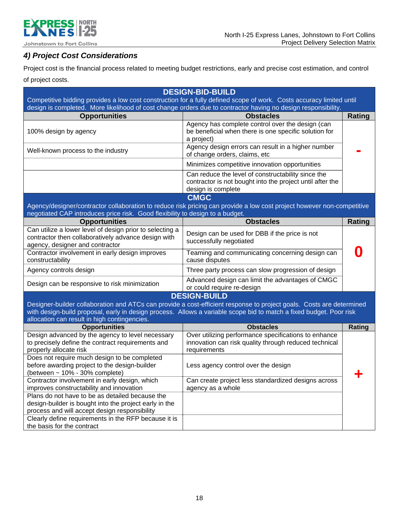

## *4) Project Cost Considerations*

Project cost is the financial process related to meeting budget restrictions, early and precise cost estimation, and control of project costs.

| <b>DESIGN-BID-BUILD</b><br>Competitive bidding provides a low cost construction for a fully defined scope of work. Costs accuracy limited until            |                                                                                                                                                                                                                                             |               |
|------------------------------------------------------------------------------------------------------------------------------------------------------------|---------------------------------------------------------------------------------------------------------------------------------------------------------------------------------------------------------------------------------------------|---------------|
| design is completed. More likelihood of cost change orders due to contractor having no design responsibility.                                              |                                                                                                                                                                                                                                             |               |
| <b>Opportunities</b>                                                                                                                                       | <b>Obstacles</b>                                                                                                                                                                                                                            | <b>Rating</b> |
| 100% design by agency                                                                                                                                      | Agency has complete control over the design (can<br>be beneficial when there is one specific solution for<br>a project)                                                                                                                     |               |
| Well-known process to the industry                                                                                                                         | Agency design errors can result in a higher number<br>of change orders, claims, etc                                                                                                                                                         |               |
|                                                                                                                                                            | Minimizes competitive innovation opportunities                                                                                                                                                                                              |               |
|                                                                                                                                                            | Can reduce the level of constructability since the<br>contractor is not bought into the project until after the<br>design is complete                                                                                                       |               |
|                                                                                                                                                            | <b>CMGC</b>                                                                                                                                                                                                                                 |               |
| negotiated CAP introduces price risk. Good flexibility to design to a budget.                                                                              | Agency/designer/contractor collaboration to reduce risk pricing can provide a low cost project however non-competitive                                                                                                                      |               |
| <b>Opportunities</b>                                                                                                                                       | <b>Obstacles</b>                                                                                                                                                                                                                            | Rating        |
| Can utilize a lower level of design prior to selecting a<br>contractor then collaboratively advance design with<br>agency, designer and contractor         | Design can be used for DBB if the price is not<br>successfully negotiated                                                                                                                                                                   |               |
| Contractor involvement in early design improves<br>constructability                                                                                        | Teaming and communicating concerning design can<br>cause disputes                                                                                                                                                                           |               |
| Agency controls design                                                                                                                                     | Three party process can slow progression of design                                                                                                                                                                                          |               |
| Design can be responsive to risk minimization                                                                                                              | Advanced design can limit the advantages of CMGC<br>or could require re-design                                                                                                                                                              |               |
|                                                                                                                                                            | <b>DESIGN-BUILD</b>                                                                                                                                                                                                                         |               |
| allocation can result in high contingencies.                                                                                                               | Designer-builder collaboration and ATCs can provide a cost-efficient response to project goals. Costs are determined<br>with design-build proposal, early in design process. Allows a variable scope bid to match a fixed budget. Poor risk |               |
| <b>Opportunities</b>                                                                                                                                       | <b>Obstacles</b>                                                                                                                                                                                                                            | Rating        |
| Design advanced by the agency to level necessary<br>to precisely define the contract requirements and<br>properly allocate risk                            | Over utilizing performance specifications to enhance<br>innovation can risk quality through reduced technical<br>requirements                                                                                                               |               |
| Does not require much design to be completed<br>before awarding project to the design-builder<br>(between $\sim$ 10% - 30% complete)                       | Less agency control over the design                                                                                                                                                                                                         |               |
| Contractor involvement in early design, which<br>improves constructability and innovation                                                                  | Can create project less standardized designs across<br>agency as a whole                                                                                                                                                                    |               |
| Plans do not have to be as detailed because the<br>design-builder is bought into the project early in the<br>process and will accept design responsibility |                                                                                                                                                                                                                                             |               |
| Clearly define requirements in the RFP because it is<br>the basis for the contract                                                                         |                                                                                                                                                                                                                                             |               |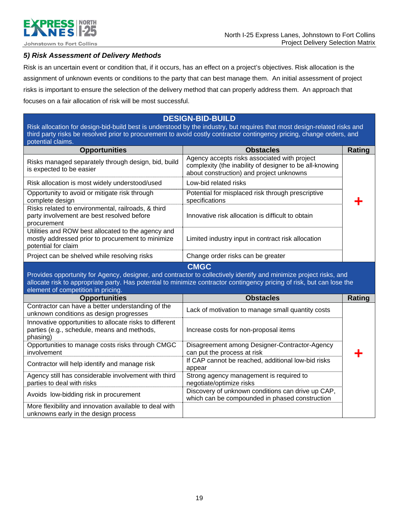

### *5) Risk Assessment of Delivery Methods*

Risk is an uncertain event or condition that, if it occurs, has an effect on a project's objectives. Risk allocation is the assignment of unknown events or conditions to the party that can best manage them. An initial assessment of project risks is important to ensure the selection of the delivery method that can properly address them. An approach that focuses on a fair allocation of risk will be most successful.

## **DESIGN-BID-BUILD**

Risk allocation for design-bid-build best is understood by the industry, but requires that most design-related risks and third party risks be resolved prior to procurement to avoid costly contractor contingency pricing, change orders, and potential claims.

| <b>Opportunities</b>                                                                                                           | <b>Obstacles</b>                                                                                                                                    | <b>Rating</b> |
|--------------------------------------------------------------------------------------------------------------------------------|-----------------------------------------------------------------------------------------------------------------------------------------------------|---------------|
| Risks managed separately through design, bid, build<br>is expected to be easier                                                | Agency accepts risks associated with project<br>complexity (the inability of designer to be all-knowing<br>about construction) and project unknowns |               |
| Risk allocation is most widely understood/used                                                                                 | Low-bid related risks                                                                                                                               |               |
| Opportunity to avoid or mitigate risk through<br>complete design                                                               | Potential for misplaced risk through prescriptive<br>specifications                                                                                 |               |
| Risks related to environmental, railroads, & third<br>party involvement are best resolved before<br>procurement                | Innovative risk allocation is difficult to obtain                                                                                                   |               |
| Utilities and ROW best allocated to the agency and<br>mostly addressed prior to procurement to minimize<br>potential for claim | Limited industry input in contract risk allocation                                                                                                  |               |
| Project can be shelved while resolving risks                                                                                   | Change order risks can be greater                                                                                                                   |               |
|                                                                                                                                | Provides opportunity for Agency, designer, and contractor to collectively identify and minimize project risks, and                                  |               |
| element of competition in pricing.                                                                                             | allocate risk to appropriate party. Has potential to minimize contractor contingency pricing of risk, but can lose the                              |               |
| <b>Opportunities</b>                                                                                                           | <b>Obstacles</b>                                                                                                                                    | <b>Rating</b> |
| Contractor can have a better understanding of the<br>unknown conditions as design progresses                                   | Lack of motivation to manage small quantity costs                                                                                                   |               |
| Innovative opportunities to allocate risks to different<br>parties (e.g., schedule, means and methods,<br>phasing)             | Increase costs for non-proposal items                                                                                                               |               |
| Opportunities to manage costs risks through CMGC<br>involvement                                                                | Disagreement among Designer-Contractor-Agency<br>can put the process at risk                                                                        |               |
| Contractor will help identify and manage risk                                                                                  | If CAP cannot be reached, additional low-bid risks<br>appear                                                                                        |               |
| Agency still has considerable involvement with third<br>parties to deal with risks                                             | Strong agency management is required to<br>negotiate/optimize risks                                                                                 |               |
| Avoids low-bidding risk in procurement                                                                                         | Discovery of unknown conditions can drive up CAP,<br>which can be compounded in phased construction                                                 |               |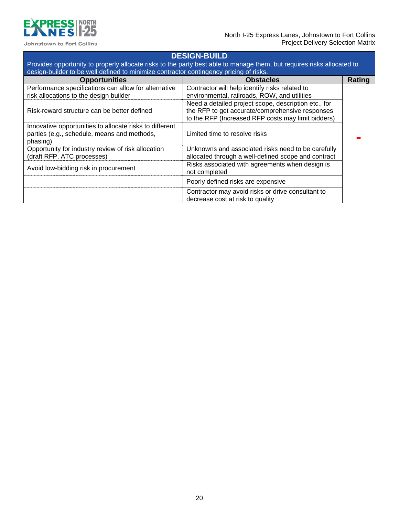

## **DESIGN-BUILD**

Provides opportunity to properly allocate risks to the party best able to manage them, but requires risks allocated to design-builder to be well defined to minimize contractor contingency pricing of risks.

| <b>Opportunities</b>                                                                                               | <b>Obstacles</b>                                                 | Rating |
|--------------------------------------------------------------------------------------------------------------------|------------------------------------------------------------------|--------|
| Performance specifications can allow for alternative                                                               | Contractor will help identify risks related to                   |        |
| risk allocations to the design builder                                                                             | environmental, railroads, ROW, and utilities                     |        |
|                                                                                                                    | Need a detailed project scope, description etc., for             |        |
| Risk-reward structure can be better defined                                                                        | the RFP to get accurate/comprehensive responses                  |        |
|                                                                                                                    | to the RFP (Increased RFP costs may limit bidders)               |        |
| Innovative opportunities to allocate risks to different<br>parties (e.g., schedule, means and methods,<br>phasing) | Limited time to resolve risks                                    |        |
| Opportunity for industry review of risk allocation                                                                 | Unknowns and associated risks need to be carefully               |        |
| (draft RFP, ATC processes)                                                                                         | allocated through a well-defined scope and contract              |        |
| Avoid low-bidding risk in procurement                                                                              | Risks associated with agreements when design is<br>not completed |        |
|                                                                                                                    | Poorly defined risks are expensive                               |        |
|                                                                                                                    | Contractor may avoid risks or drive consultant to                |        |
|                                                                                                                    | decrease cost at risk to quality                                 |        |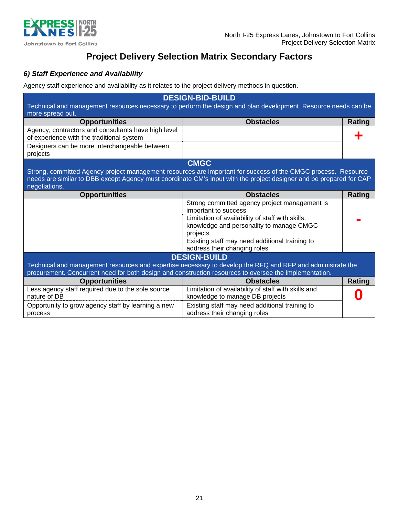

## **Project Delivery Selection Matrix Secondary Factors**

### *6) Staff Experience and Availability*

Agency staff experience and availability as it relates to the project delivery methods in question.

| <b>DESIGN-BID-BUILD</b>                                                                                    |                                                                                                                     |               |
|------------------------------------------------------------------------------------------------------------|---------------------------------------------------------------------------------------------------------------------|---------------|
|                                                                                                            | Technical and management resources necessary to perform the design and plan development. Resource needs can be      |               |
| more spread out.                                                                                           |                                                                                                                     |               |
| <b>Opportunities</b>                                                                                       | <b>Obstacles</b>                                                                                                    | Rating        |
| Agency, contractors and consultants have high level<br>of experience with the traditional system           |                                                                                                                     |               |
| Designers can be more interchangeable between<br>projects                                                  |                                                                                                                     |               |
|                                                                                                            | <b>CMGC</b>                                                                                                         |               |
|                                                                                                            | Strong, committed Agency project management resources are important for success of the CMGC process. Resource       |               |
|                                                                                                            | needs are similar to DBB except Agency must coordinate CM's input with the project designer and be prepared for CAP |               |
| negotiations.                                                                                              |                                                                                                                     |               |
| <b>Opportunities</b>                                                                                       | <b>Obstacles</b>                                                                                                    | <b>Rating</b> |
|                                                                                                            | Strong committed agency project management is                                                                       |               |
|                                                                                                            | important to success                                                                                                |               |
|                                                                                                            | Limitation of availability of staff with skills,                                                                    |               |
|                                                                                                            | knowledge and personality to manage CMGC                                                                            |               |
|                                                                                                            | projects                                                                                                            |               |
|                                                                                                            | Existing staff may need additional training to                                                                      |               |
|                                                                                                            | address their changing roles                                                                                        |               |
|                                                                                                            | <b>DESIGN-BUILD</b>                                                                                                 |               |
| Technical and management resources and expertise necessary to develop the RFQ and RFP and administrate the |                                                                                                                     |               |
| procurement. Concurrent need for both design and construction resources to oversee the implementation.     |                                                                                                                     |               |
| <b>Opportunities</b>                                                                                       | <b>Obstacles</b>                                                                                                    | Rating        |
| Less agency staff required due to the sole source                                                          | Limitation of availability of staff with skills and                                                                 |               |
| nature of DB                                                                                               | knowledge to manage DB projects                                                                                     |               |
| Opportunity to grow agency staff by learning a new                                                         | Existing staff may need additional training to                                                                      |               |
| process                                                                                                    | address their changing roles                                                                                        |               |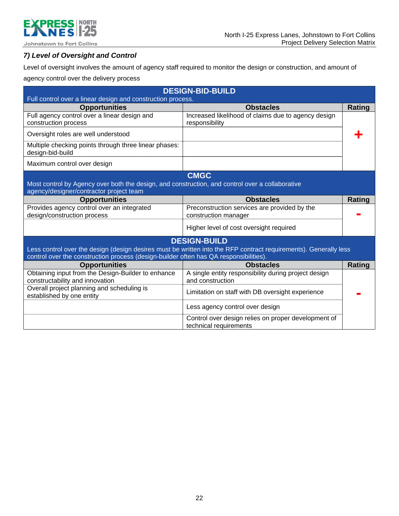

### *7) Level of Oversight and Control*

Level of oversight involves the amount of agency staff required to monitor the design or construction, and amount of

agency control over the delivery process

|                                                                                                                                            | <b>DESIGN-BID-BUILD</b>                                                                                          |        |
|--------------------------------------------------------------------------------------------------------------------------------------------|------------------------------------------------------------------------------------------------------------------|--------|
| Full control over a linear design and construction process.                                                                                |                                                                                                                  |        |
| <b>Opportunities</b>                                                                                                                       | <b>Obstacles</b>                                                                                                 | Rating |
| Full agency control over a linear design and<br>construction process                                                                       | Increased likelihood of claims due to agency design<br>responsibility                                            |        |
| Oversight roles are well understood                                                                                                        |                                                                                                                  |        |
| Multiple checking points through three linear phases:<br>design-bid-build                                                                  |                                                                                                                  |        |
| Maximum control over design                                                                                                                |                                                                                                                  |        |
|                                                                                                                                            | <b>CMGC</b>                                                                                                      |        |
| Most control by Agency over both the design, and construction, and control over a collaborative<br>agency/designer/contractor project team |                                                                                                                  |        |
| <b>Opportunities</b>                                                                                                                       | <b>Obstacles</b>                                                                                                 | Rating |
| Provides agency control over an integrated<br>design/construction process                                                                  | Preconstruction services are provided by the<br>construction manager                                             |        |
|                                                                                                                                            | Higher level of cost oversight required                                                                          |        |
|                                                                                                                                            | <b>DESIGN-BUILD</b>                                                                                              |        |
|                                                                                                                                            | Less control over the design (design desires must be written into the RFP contract requirements). Generally less |        |
| control over the construction process (design-builder often has QA responsibilities).                                                      |                                                                                                                  |        |
| <b>Opportunities</b>                                                                                                                       | <b>Obstacles</b>                                                                                                 | Rating |
| Obtaining input from the Design-Builder to enhance                                                                                         | A single entity responsibility during project design                                                             |        |
| constructability and innovation                                                                                                            | and construction                                                                                                 |        |
| Overall project planning and scheduling is<br>established by one entity                                                                    | Limitation on staff with DB oversight experience                                                                 |        |
|                                                                                                                                            | Less agency control over design                                                                                  |        |
|                                                                                                                                            | Control over design relies on proper development of<br>technical requirements                                    |        |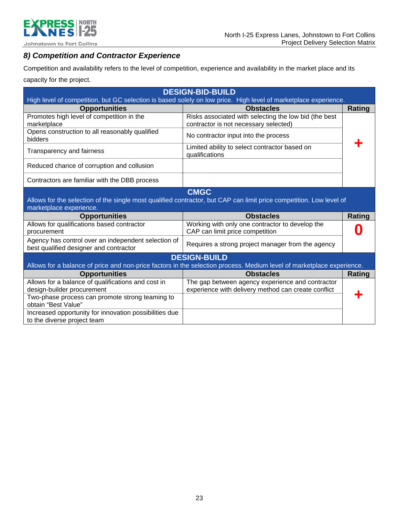

## *8) Competition and Contractor Experience*

Competition and availability refers to the level of competition, experience and availability in the market place and its capacity for the project.

| <b>DESIGN-BID-BUILD</b>                                                                                         |                                                                                                                       |               |
|-----------------------------------------------------------------------------------------------------------------|-----------------------------------------------------------------------------------------------------------------------|---------------|
| High level of competition, but GC selection is based solely on low price. High level of marketplace experience. |                                                                                                                       |               |
| <b>Opportunities</b>                                                                                            | <b>Obstacles</b>                                                                                                      | <b>Rating</b> |
| Promotes high level of competition in the                                                                       | Risks associated with selecting the low bid (the best                                                                 |               |
| marketplace<br>Opens construction to all reasonably qualified                                                   | contractor is not necessary selected)                                                                                 |               |
| bidders                                                                                                         | No contractor input into the process                                                                                  |               |
| Transparency and fairness                                                                                       | Limited ability to select contractor based on                                                                         |               |
|                                                                                                                 | qualifications                                                                                                        |               |
| Reduced chance of corruption and collusion                                                                      |                                                                                                                       |               |
| Contractors are familiar with the DBB process                                                                   |                                                                                                                       |               |
|                                                                                                                 | <b>CMGC</b>                                                                                                           |               |
|                                                                                                                 | Allows for the selection of the single most qualified contractor, but CAP can limit price competition. Low level of   |               |
| marketplace experience.                                                                                         |                                                                                                                       |               |
| <b>Opportunities</b>                                                                                            | <b>Obstacles</b>                                                                                                      | <b>Rating</b> |
| Allows for qualifications based contractor                                                                      | Working with only one contractor to develop the                                                                       |               |
| procurement                                                                                                     | CAP can limit price competition                                                                                       |               |
| Agency has control over an independent selection of                                                             | Requires a strong project manager from the agency                                                                     |               |
| best qualified designer and contractor                                                                          |                                                                                                                       |               |
|                                                                                                                 | <b>DESIGN-BUILD</b>                                                                                                   |               |
|                                                                                                                 | Allows for a balance of price and non-price factors in the selection process. Medium level of marketplace experience. |               |
| <b>Opportunities</b>                                                                                            | <b>Obstacles</b>                                                                                                      | Rating        |
| Allows for a balance of qualifications and cost in                                                              | The gap between agency experience and contractor                                                                      |               |
| design-builder procurement                                                                                      | experience with delivery method can create conflict                                                                   |               |
| Two-phase process can promote strong teaming to                                                                 |                                                                                                                       |               |
| obtain "Best Value"                                                                                             |                                                                                                                       |               |
| Increased opportunity for innovation possibilities due<br>to the diverse project team                           |                                                                                                                       |               |
|                                                                                                                 |                                                                                                                       |               |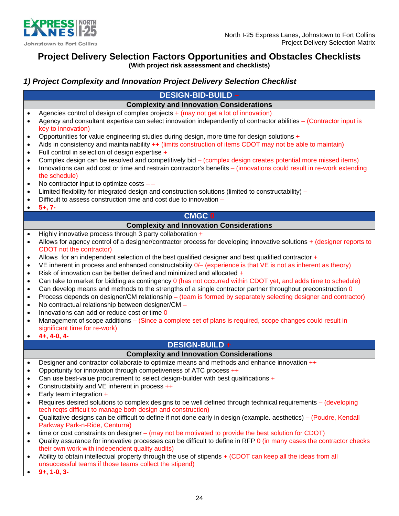

## **Project Delivery Selection Factors Opportunities and Obstacles Checklists**

**(With project risk assessment and checklists)** 

### *1) Project Complexity and Innovation Project Delivery Selection Checklist*

|                                                                                                                                                          | <b>DESIGN-BID-BUILD -</b>                                                                                                                                                                                                                                                                                                                                                                                                                                                                                                                                                                                                                                                                                                                                                                                                                                                                                                                                                                                                                                                                                                            |  |
|----------------------------------------------------------------------------------------------------------------------------------------------------------|--------------------------------------------------------------------------------------------------------------------------------------------------------------------------------------------------------------------------------------------------------------------------------------------------------------------------------------------------------------------------------------------------------------------------------------------------------------------------------------------------------------------------------------------------------------------------------------------------------------------------------------------------------------------------------------------------------------------------------------------------------------------------------------------------------------------------------------------------------------------------------------------------------------------------------------------------------------------------------------------------------------------------------------------------------------------------------------------------------------------------------------|--|
|                                                                                                                                                          | <b>Complexity and Innovation Considerations</b>                                                                                                                                                                                                                                                                                                                                                                                                                                                                                                                                                                                                                                                                                                                                                                                                                                                                                                                                                                                                                                                                                      |  |
| $\bullet$<br>$\bullet$<br>$\bullet$<br>$\bullet$<br>$\bullet$<br>$\bullet$<br>$\bullet$<br>$\bullet$<br>$\bullet$<br>$\bullet$                           | Agencies control of design of complex projects + (may not get a lot of innovation)<br>Agency and consultant expertise can select innovation independently of contractor abilities - (Contractor input is<br>key to innovation)<br>Opportunities for value engineering studies during design, more time for design solutions +<br>Aids in consistency and maintainability $++$ (limits construction of items CDOT may not be able to maintain)<br>Full control in selection of design expertise +<br>Complex design can be resolved and competitively bid – (complex design creates potential more missed items)<br>Innovations can add cost or time and restrain contractor's benefits - (innovations could result in re-work extending<br>the schedule)<br>No contractor input to optimize costs $-$ -<br>Limited flexibility for integrated design and construction solutions (limited to constructability) -<br>Difficult to assess construction time and cost due to innovation -                                                                                                                                                |  |
| $\bullet$                                                                                                                                                | $5+, 7-$                                                                                                                                                                                                                                                                                                                                                                                                                                                                                                                                                                                                                                                                                                                                                                                                                                                                                                                                                                                                                                                                                                                             |  |
|                                                                                                                                                          | <b>CMGC 0</b>                                                                                                                                                                                                                                                                                                                                                                                                                                                                                                                                                                                                                                                                                                                                                                                                                                                                                                                                                                                                                                                                                                                        |  |
|                                                                                                                                                          | <b>Complexity and Innovation Considerations</b>                                                                                                                                                                                                                                                                                                                                                                                                                                                                                                                                                                                                                                                                                                                                                                                                                                                                                                                                                                                                                                                                                      |  |
| $\bullet$<br>$\bullet$<br>$\bullet$<br>$\bullet$<br>$\bullet$<br>$\bullet$<br>$\bullet$<br>$\bullet$<br>$\bullet$<br>$\bullet$<br>$\bullet$<br>$\bullet$ | Highly innovative process through 3 party collaboration +<br>Allows for agency control of a designer/contractor process for developing innovative solutions + (designer reports to<br>CDOT not the contractor)<br>Allows for an independent selection of the best qualified designer and best qualified contractor +<br>VE inherent in process and enhanced constructability 0/- (experience is that VE is not as inherent as theory)<br>Risk of innovation can be better defined and minimized and allocated +<br>Can take to market for bidding as contingency 0 (has not occurred within CDOT yet, and adds time to schedule)<br>Can develop means and methods to the strengths of a single contractor partner throughout preconstruction 0<br>Process depends on designer/CM relationship – (team is formed by separately selecting designer and contractor)<br>No contractual relationship between designer/CM -<br>Innovations can add or reduce cost or time 0<br>Management of scope additions – (Since a complete set of plans is required, scope changes could result in<br>significant time for re-work)<br>$4+, 4-0, 4-$ |  |
|                                                                                                                                                          | DESIGN-BUILD+                                                                                                                                                                                                                                                                                                                                                                                                                                                                                                                                                                                                                                                                                                                                                                                                                                                                                                                                                                                                                                                                                                                        |  |
|                                                                                                                                                          | <b>Complexity and Innovation Considerations</b>                                                                                                                                                                                                                                                                                                                                                                                                                                                                                                                                                                                                                                                                                                                                                                                                                                                                                                                                                                                                                                                                                      |  |
| $\bullet$<br>$\bullet$<br>$\bullet$<br>$\bullet$<br>$\bullet$                                                                                            | Designer and contractor collaborate to optimize means and methods and enhance innovation ++<br>Opportunity for innovation through competiveness of ATC process ++<br>Can use best-value procurement to select design-builder with best qualifications +<br>Constructability and VE inherent in process ++<br>Early team integration $+$                                                                                                                                                                                                                                                                                                                                                                                                                                                                                                                                                                                                                                                                                                                                                                                              |  |
| $\bullet$<br>$\bullet$                                                                                                                                   | Requires desired solutions to complex designs to be well defined through technical requirements - (developing<br>tech reqts difficult to manage both design and construction)<br>Qualitative designs can be difficult to define if not done early in design (example. aesthetics) – (Poudre, Kendall<br>Parkway Park-n-Ride, Centurra)                                                                                                                                                                                                                                                                                                                                                                                                                                                                                                                                                                                                                                                                                                                                                                                               |  |

- time or cost constraints on designer (may not be motivated to provide the best solution for CDOT)
- Quality assurance for innovative processes can be difficult to define in RFP 0 (in many cases the contractor checks their own work with independent quality audits)
- Ability to obtain intellectual property through the use of stipends + (CDOT can keep all the ideas from all unsuccessful teams if those teams collect the stipend)
- **9+, 1-0, 3-**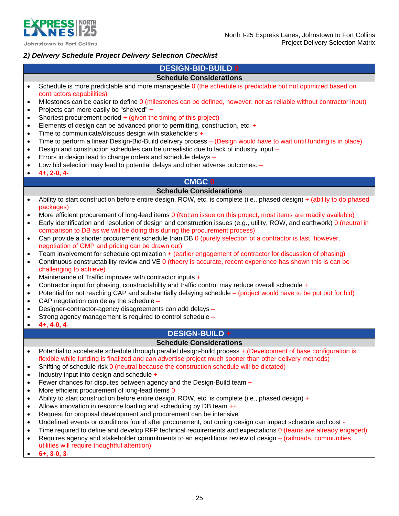

### *2) Delivery Schedule Project Delivery Selection Checklist*

### **DESIGN-BID-BUILD 0**

### **Schedule Considerations**

- Schedule is more predictable and more manageable 0 (the schedule is predictable but not optimized based on contractors capabilities)
- Milestones can be easier to define 0 (milestones can be defined, however, not as reliable without contractor input)
- Projects can more easily be "shelved" +
- Shortest procurement period  $+$  (given the timing of this project)
- Elements of design can be advanced prior to permitting, construction, etc. +
- $\bullet$  Time to communicate/discuss design with stakeholders  $+$
- Time to perform a linear Design-Bid-Build delivery process (Design would have to wait until funding is in place)
- Design and construction schedules can be unrealistic due to lack of industry input –
- Errors in design lead to change orders and schedule delays –
- Low bid selection may lead to potential delays and other adverse outcomes. –
- **4+, 2-0, 4-**

### **CMGC 0**

### **Schedule Considerations**

- Ability to start construction before entire design, ROW, etc. is complete (i.e., phased design) + (ability to do phased packages)
- More efficient procurement of long-lead items 0 (Not an issue on this project, most items are readily available)
- Early identification and resolution of design and construction issues (e.g., utility, ROW, and earthwork) 0 (neutral in comparison to DB as we will be doing this during the procurement process)
- Can provide a shorter procurement schedule than DB 0 (purely selection of a contractor is fast, however, negotiation of GMP and pricing can be drawn out)
- Team involvement for schedule optimization + (earlier engagement of contractor for discussion of phasing)
- Continuous constructability review and VE 0 (theory is accurate, recent experience has shown this is can be challenging to achieve)
- Maintenance of Traffic improves with contractor inputs +
- Contractor input for phasing, constructability and traffic control may reduce overall schedule  $+$
- Potential for not reaching CAP and substantially delaying schedule (project would have to be put out for bid)
- CAP negotiation can delay the schedule –
- Designer-contractor-agency disagreements can add delays –
- Strong agency management is required to control schedule –
- **4+, 4-0, 4-**

### **DESIGN-BUILD +**

### **Schedule Considerations**

- Potential to accelerate schedule through parallel design-build process + (Development of base configuration is flexible while funding is finalized and can advertise project much sooner than other delivery methods)
- Shifting of schedule risk 0 (neutral because the construction schedule will be dictated)
- Industry input into design and schedule +
- Fewer chances for disputes between agency and the Design-Build team  $+$
- More efficient procurement of long-lead items 0
- $\bullet$  Ability to start construction before entire design, ROW, etc. is complete (i.e., phased design) +
- Allows innovation in resource loading and scheduling by DB team  $++$
- Request for proposal development and procurement can be intensive
- Undefined events or conditions found after procurement, but during design can impact schedule and cost -
- Time required to define and develop RFP technical requirements and expectations 0 (teams are already engaged)
- Requires agency and stakeholder commitments to an expeditious review of design (railroads, communities, utilities will require thoughtful attention)
- **6+, 3-0, 3-**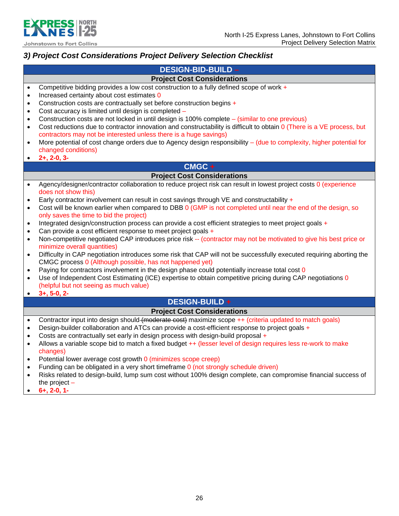



### *3) Project Cost Considerations Project Delivery Selection Checklist*

### **DESIGN-BID-BUILD –**

### **Project Cost Considerations**

- Competitive bidding provides a low cost construction to a fully defined scope of work  $+$
- Increased certainty about cost estimates 0
- Construction costs are contractually set before construction begins +
- Cost accuracy is limited until design is completed –
- Construction costs are not locked in until design is 100% complete (similar to one previous)
- Cost reductions due to contractor innovation and constructability is difficult to obtain 0 (There is a VE process, but contractors may not be interested unless there is a huge savings)
- More potential of cost change orders due to Agency design responsibility (due to complexity, higher potential for changed conditions)
- **2+, 2-0, 3-**

### **CMGC +**

### **Project Cost Considerations**

- Agency/designer/contractor collaboration to reduce project risk can result in lowest project costs 0 (experience does not show this)
- Early contractor involvement can result in cost savings through VE and constructability  $+$
- Cost will be known earlier when compared to DBB 0 (GMP is not completed until near the end of the design, so only saves the time to bid the project)
- Integrated design/construction process can provide a cost efficient strategies to meet project goals +
- Can provide a cost efficient response to meet project goals +
- Non-competitive negotiated CAP introduces price risk -- (contractor may not be motivated to give his best price or minimize overall quantities)
- Difficulty in CAP negotiation introduces some risk that CAP will not be successfully executed requiring aborting the CMGC process 0 (Although possible, has not happened yet)
- Paying for contractors involvement in the design phase could potentially increase total cost 0
- Use of Independent Cost Estimating (ICE) expertise to obtain competitive pricing during CAP negotiations 0 (helpful but not seeing as much value)
- **3+, 5-0, 2-**

## **DESIGN-BUILD +**

### **Project Cost Considerations**

- Contractor input into design should (moderate cost) maximize scope ++ (criteria updated to match goals)
- Design-builder collaboration and ATCs can provide a cost-efficient response to project goals +
- Costs are contractually set early in design process with design-build proposal +
- Allows a variable scope bid to match a fixed budget ++ (lesser level of design requires less re-work to make changes)
- Potential lower average cost growth 0 (minimizes scope creep)
- Funding can be obligated in a very short timeframe 0 (not strongly schedule driven)
- Risks related to design-build, lump sum cost without 100% design complete, can compromise financial success of the project –
- **6+, 2-0, 1-**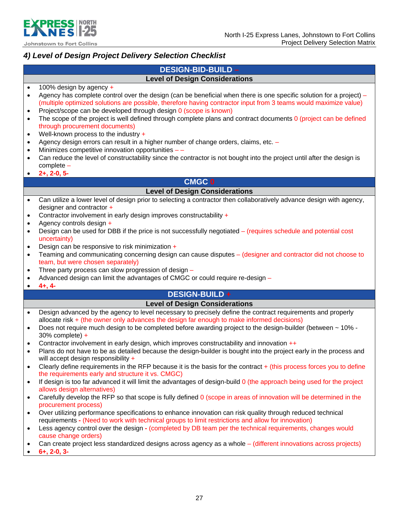

### *4) Level of Design Project Delivery Selection Checklist*

### **DESIGN-BID-BUILD – Level of Design Considerations**

- $\bullet$  100% design by agency  $\bullet$
- Agency has complete control over the design (can be beneficial when there is one specific solution for a project) (multiple optimized solutions are possible, therefore having contractor input from 3 teams would maximize value)
- Project/scope can be developed through design 0 (scope is known)
- The scope of the project is well defined through complete plans and contract documents 0 (project can be defined through procurement documents)
- Well-known process to the industry +
- Agency design errors can result in a higher number of change orders, claims, etc. –
- Minimizes competitive innovation opportunities –
- Can reduce the level of constructability since the contractor is not bought into the project until after the design is complete –
- **2+, 2-0, 5-**

### **CMGC 0**

### **Level of Design Considerations**

- Can utilize a lower level of design prior to selecting a contractor then collaboratively advance design with agency, designer and contractor +
- Contractor involvement in early design improves constructability +
- $\bullet$  Agency controls design  $+$
- Design can be used for DBB if the price is not successfully negotiated (requires schedule and potential cost uncertainty)
- **•** Design can be responsive to risk minimization  $+$
- Teaming and communicating concerning design can cause disputes (designer and contractor did not choose to team, but were chosen separately)
- Three party process can slow progression of design  $-$
- Advanced design can limit the advantages of CMGC or could require re-design –
- **4+, 4-**

### **DESIGN-BUILD +**

### **Level of Design Considerations**

- Design advanced by the agency to level necessary to precisely define the contract requirements and properly allocate risk + (the owner only advances the design far enough to make informed decisions)
- Does not require much design to be completed before awarding project to the design-builder (between ~ 10% 30% complete) +
- Contractor involvement in early design, which improves constructability and innovation  $++$
- Plans do not have to be as detailed because the design-builder is bought into the project early in the process and will accept design responsibility +
- Clearly define requirements in the RFP because it is the basis for the contract  $+$  (this process forces you to define the requirements early and structure it vs. CMGC)
- If design is too far advanced it will limit the advantages of design-build 0 (the approach being used for the project allows design alternatives)
- Carefully develop the RFP so that scope is fully defined 0 (scope in areas of innovation will be determined in the procurement process)
- Over utilizing performance specifications to enhance innovation can risk quality through reduced technical requirements **-** (Need to work with technical groups to limit restrictions and allow for innovation)
- Less agency control over the design **-** (completed by DB team per the technical requirements, changes would cause change orders)
- Can create project less standardized designs across agency as a whole (different innovations across projects)
- **6+, 2-0, 3-**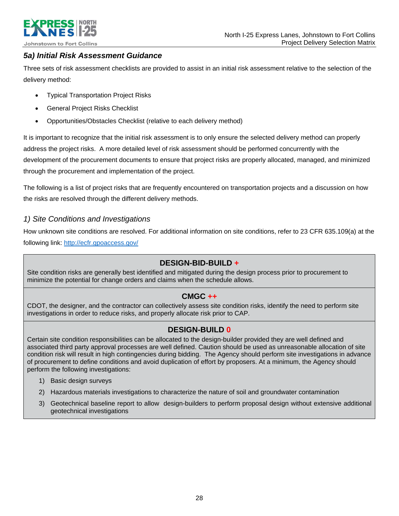

### *5a) Initial Risk Assessment Guidance*

Three sets of risk assessment checklists are provided to assist in an initial risk assessment relative to the selection of the delivery method:

- Typical Transportation Project Risks
- General Project Risks Checklist
- Opportunities/Obstacles Checklist (relative to each delivery method)

It is important to recognize that the initial risk assessment is to only ensure the selected delivery method can properly address the project risks. A more detailed level of risk assessment should be performed concurrently with the development of the procurement documents to ensure that project risks are properly allocated, managed, and minimized through the procurement and implementation of the project.

The following is a list of project risks that are frequently encountered on transportation projects and a discussion on how the risks are resolved through the different delivery methods.

### *1) Site Conditions and Investigations*

How unknown site conditions are resolved. For additional information on site conditions, refer to 23 CFR 635.109(a) at the following link: http://ecfr.gpoaccess.gov/

### **DESIGN-BID-BUILD +**

Site condition risks are generally best identified and mitigated during the design process prior to procurement to minimize the potential for change orders and claims when the schedule allows.

### **CMGC ++**

CDOT, the designer, and the contractor can collectively assess site condition risks, identify the need to perform site investigations in order to reduce risks, and properly allocate risk prior to CAP.

### **DESIGN-BUILD 0**

Certain site condition responsibilities can be allocated to the design-builder provided they are well defined and associated third party approval processes are well defined. Caution should be used as unreasonable allocation of site condition risk will result in high contingencies during bidding. The Agency should perform site investigations in advance of procurement to define conditions and avoid duplication of effort by proposers. At a minimum, the Agency should perform the following investigations:

- 1) Basic design surveys
- 2) Hazardous materials investigations to characterize the nature of soil and groundwater contamination
- 3) Geotechnical baseline report to allow design-builders to perform proposal design without extensive additional geotechnical investigations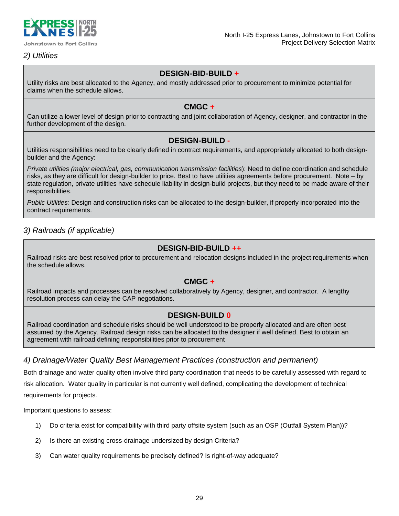

### *2) Utilities*

### **DESIGN-BID-BUILD +**

Utility risks are best allocated to the Agency, and mostly addressed prior to procurement to minimize potential for claims when the schedule allows.

### **CMGC +**

Can utilize a lower level of design prior to contracting and joint collaboration of Agency, designer, and contractor in the further development of the design.

### **DESIGN-BUILD -**

Utilities responsibilities need to be clearly defined in contract requirements, and appropriately allocated to both designbuilder and the Agency:

*Private utilities (major electrical, gas, communication transmission facilities*): Need to define coordination and schedule risks, as they are difficult for design-builder to price. Best to have utilities agreements before procurement. Note – by state regulation, private utilities have schedule liability in design-build projects, but they need to be made aware of their responsibilities.

*Public Utilities:* Design and construction risks can be allocated to the design-builder, if properly incorporated into the contract requirements.

### *3) Railroads (if applicable)*

### **DESIGN-BID-BUILD ++**

Railroad risks are best resolved prior to procurement and relocation designs included in the project requirements when the schedule allows.

### **CMGC +**

Railroad impacts and processes can be resolved collaboratively by Agency, designer, and contractor. A lengthy resolution process can delay the CAP negotiations.

### **DESIGN-BUILD 0**

Railroad coordination and schedule risks should be well understood to be properly allocated and are often best assumed by the Agency. Railroad design risks can be allocated to the designer if well defined. Best to obtain an agreement with railroad defining responsibilities prior to procurement

### *4) Drainage/Water Quality Best Management Practices (construction and permanent)*

Both drainage and water quality often involve third party coordination that needs to be carefully assessed with regard to risk allocation. Water quality in particular is not currently well defined, complicating the development of technical requirements for projects.

Important questions to assess:

- 1) Do criteria exist for compatibility with third party offsite system (such as an OSP (Outfall System Plan))?
- 2) Is there an existing cross-drainage undersized by design Criteria?
- 3) Can water quality requirements be precisely defined? Is right-of-way adequate?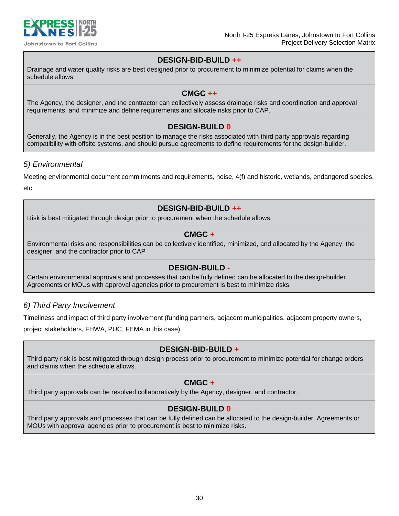

### **DESIGN-BID-BUILD ++**

Drainage and water quality risks are best designed prior to procurement to minimize potential for claims when the schedule allows.

### **CMGC ++**

The Agency, the designer, and the contractor can collectively assess drainage risks and coordination and approval requirements, and minimize and define requirements and allocate risks prior to CAP.

### **DESIGN-BUILD 0**

Generally, the Agency is in the best position to manage the risks associated with third party approvals regarding compatibility with offsite systems, and should pursue agreements to define requirements for the design-builder.

### *5) Environmental*

Meeting environmental document commitments and requirements, noise, 4(f) and historic, wetlands, endangered species, etc.

### **DESIGN-BID-BUILD ++**

Risk is best mitigated through design prior to procurement when the schedule allows.

### **CMGC +**

Environmental risks and responsibilities can be collectively identified, minimized, and allocated by the Agency, the designer, and the contractor prior to CAP

### **DESIGN-BUILD -**

Certain environmental approvals and processes that can be fully defined can be allocated to the design-builder. Agreements or MOUs with approval agencies prior to procurement is best to minimize risks.

### *6) Third Party Involvement*

Timeliness and impact of third party involvement (funding partners, adjacent municipalities, adjacent property owners,

project stakeholders, FHWA, PUC, FEMA in this case)

### **DESIGN-BID-BUILD +**

Third party risk is best mitigated through design process prior to procurement to minimize potential for change orders and claims when the schedule allows.

### **CMGC +**

Third party approvals can be resolved collaboratively by the Agency, designer, and contractor.

### **DESIGN-BUILD 0**

Third party approvals and processes that can be fully defined can be allocated to the design-builder. Agreements or MOUs with approval agencies prior to procurement is best to minimize risks.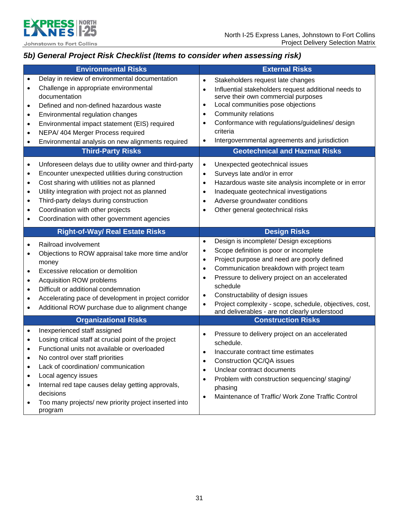

## *5b) General Project Risk Checklist (Items to consider when assessing risk)*

|                                                                                         | <b>Environmental Risks</b>                                                                                                                                                                                                                                                                                                                                                    | <b>External Risks</b>                                                                                                                                                                                                                                                                                                                                                                                                                                                                   |
|-----------------------------------------------------------------------------------------|-------------------------------------------------------------------------------------------------------------------------------------------------------------------------------------------------------------------------------------------------------------------------------------------------------------------------------------------------------------------------------|-----------------------------------------------------------------------------------------------------------------------------------------------------------------------------------------------------------------------------------------------------------------------------------------------------------------------------------------------------------------------------------------------------------------------------------------------------------------------------------------|
| $\bullet$<br>$\bullet$<br>$\bullet$<br>$\bullet$<br>$\bullet$<br>$\bullet$<br>$\bullet$ | Delay in review of environmental documentation<br>Challenge in appropriate environmental<br>documentation<br>Defined and non-defined hazardous waste<br>Environmental regulation changes<br>Environmental impact statement (EIS) required<br>NEPA/ 404 Merger Process required<br>Environmental analysis on new alignments required                                           | Stakeholders request late changes<br>$\bullet$<br>Influential stakeholders request additional needs to<br>$\bullet$<br>serve their own commercial purposes<br>Local communities pose objections<br>٠<br>Community relations<br>$\bullet$<br>Conformance with regulations/guidelines/ design<br>$\bullet$<br>criteria<br>Intergovernmental agreements and jurisdiction<br>$\bullet$                                                                                                      |
|                                                                                         | <b>Third-Party Risks</b>                                                                                                                                                                                                                                                                                                                                                      | <b>Geotechnical and Hazmat Risks</b>                                                                                                                                                                                                                                                                                                                                                                                                                                                    |
| $\bullet$<br>$\bullet$<br>$\bullet$<br>$\bullet$<br>$\bullet$<br>٠<br>$\bullet$         | Unforeseen delays due to utility owner and third-party<br>Encounter unexpected utilities during construction<br>Cost sharing with utilities not as planned<br>Utility integration with project not as planned<br>Third-party delays during construction<br>Coordination with other projects<br>Coordination with other government agencies                                    | Unexpected geotechnical issues<br>$\bullet$<br>Surveys late and/or in error<br>$\bullet$<br>Hazardous waste site analysis incomplete or in error<br>$\bullet$<br>Inadequate geotechnical investigations<br>$\bullet$<br>Adverse groundwater conditions<br>$\bullet$<br>Other general geotechnical risks<br>$\bullet$                                                                                                                                                                    |
|                                                                                         | <b>Right-of-Way/ Real Estate Risks</b>                                                                                                                                                                                                                                                                                                                                        | <b>Design Risks</b>                                                                                                                                                                                                                                                                                                                                                                                                                                                                     |
| ٠<br>$\bullet$<br>$\bullet$<br>$\bullet$<br>$\bullet$<br>٠<br>$\bullet$                 | Railroad involvement<br>Objections to ROW appraisal take more time and/or<br>money<br>Excessive relocation or demolition<br>Acquisition ROW problems<br>Difficult or additional condemnation<br>Accelerating pace of development in project corridor<br>Additional ROW purchase due to alignment change                                                                       | Design is incomplete/ Design exceptions<br>$\bullet$<br>Scope definition is poor or incomplete<br>$\bullet$<br>Project purpose and need are poorly defined<br>$\bullet$<br>Communication breakdown with project team<br>$\bullet$<br>Pressure to delivery project on an accelerated<br>$\bullet$<br>schedule<br>Constructability of design issues<br>$\bullet$<br>Project complexity - scope, schedule, objectives, cost,<br>$\bullet$<br>and deliverables - are not clearly understood |
|                                                                                         | <b>Organizational Risks</b>                                                                                                                                                                                                                                                                                                                                                   | <b>Construction Risks</b>                                                                                                                                                                                                                                                                                                                                                                                                                                                               |
| ٠<br>$\bullet$<br>$\bullet$<br>$\bullet$                                                | Inexperienced staff assigned<br>Losing critical staff at crucial point of the project<br>Functional units not available or overloaded<br>No control over staff priorities<br>Lack of coordination/ communication<br>Local agency issues<br>Internal red tape causes delay getting approvals,<br>decisions<br>Too many projects/ new priority project inserted into<br>program | Pressure to delivery project on an accelerated<br>$\bullet$<br>schedule.<br>Inaccurate contract time estimates<br>٠<br>Construction QC/QA issues<br>$\bullet$<br>Unclear contract documents<br>$\bullet$<br>Problem with construction sequencing/ staging/<br>$\bullet$<br>phasing<br>Maintenance of Traffic/ Work Zone Traffic Control<br>$\bullet$                                                                                                                                    |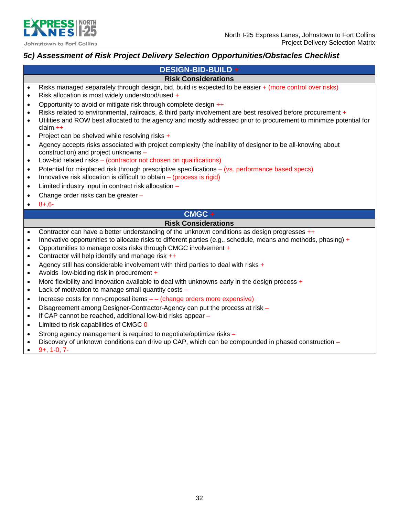

### *5c) Assessment of Risk Project Delivery Selection Opportunities/Obstacles Checklist*

|                                                  | DESIGN-BID-BUILD+                                                                                                                                                                                                                                                                                                                    |
|--------------------------------------------------|--------------------------------------------------------------------------------------------------------------------------------------------------------------------------------------------------------------------------------------------------------------------------------------------------------------------------------------|
|                                                  | <b>Risk Considerations</b>                                                                                                                                                                                                                                                                                                           |
| $\bullet$<br>$\bullet$                           | Risks managed separately through design, bid, build is expected to be easier + (more control over risks)<br>Risk allocation is most widely understood/used +                                                                                                                                                                         |
| $\bullet$<br>$\bullet$<br>$\bullet$              | Opportunity to avoid or mitigate risk through complete design ++<br>Risks related to environmental, railroads, & third party involvement are best resolved before procurement +<br>Utilities and ROW best allocated to the agency and mostly addressed prior to procurement to minimize potential for<br>$claim ++$                  |
| $\bullet$                                        | Project can be shelved while resolving risks +                                                                                                                                                                                                                                                                                       |
| $\bullet$                                        | Agency accepts risks associated with project complexity (the inability of designer to be all-knowing about<br>construction) and project unknowns -                                                                                                                                                                                   |
| $\bullet$                                        | Low-bid related risks - (contractor not chosen on qualifications)                                                                                                                                                                                                                                                                    |
| $\bullet$<br>$\bullet$                           | Potential for misplaced risk through prescriptive specifications - (vs. performance based specs)<br>Innovative risk allocation is difficult to obtain - (process is rigid)                                                                                                                                                           |
| $\bullet$                                        | Limited industry input in contract risk allocation -                                                                                                                                                                                                                                                                                 |
| $\bullet$                                        | Change order risks can be greater -                                                                                                                                                                                                                                                                                                  |
| $\bullet$                                        | $8+,6-$                                                                                                                                                                                                                                                                                                                              |
|                                                  | $CMGC +$                                                                                                                                                                                                                                                                                                                             |
|                                                  | <b>Risk Considerations</b>                                                                                                                                                                                                                                                                                                           |
| $\bullet$<br>$\bullet$<br>$\bullet$<br>$\bullet$ | Contractor can have a better understanding of the unknown conditions as design progresses ++<br>Innovative opportunities to allocate risks to different parties (e.g., schedule, means and methods, phasing) +<br>Opportunities to manage costs risks through CMGC involvement +<br>Contractor will help identify and manage risk ++ |
| $\bullet$<br>$\bullet$                           | Agency still has considerable involvement with third parties to deal with risks +<br>Avoids low-bidding risk in procurement +                                                                                                                                                                                                        |
| $\bullet$<br>$\bullet$                           | More flexibility and innovation available to deal with unknowns early in the design process +<br>Lack of motivation to manage small quantity costs -                                                                                                                                                                                 |
| $\bullet$                                        | Increase costs for non-proposal items - - (change orders more expensive)                                                                                                                                                                                                                                                             |
| $\bullet$                                        | Disagreement among Designer-Contractor-Agency can put the process at risk -                                                                                                                                                                                                                                                          |
| $\bullet$                                        | If CAP cannot be reached, additional low-bid risks appear -                                                                                                                                                                                                                                                                          |
| $\bullet$                                        | Limited to risk capabilities of CMGC 0                                                                                                                                                                                                                                                                                               |
| $\bullet$<br>$\bullet$                           | Strong agency management is required to negotiate/optimize risks -<br>Discovery of unknown conditions can drive up CAP, which can be compounded in phased construction -<br>$9+$ , 1-0, 7-                                                                                                                                           |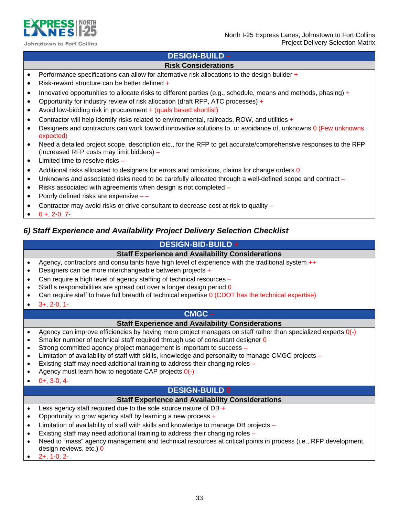

### **DESIGN-BUILD –**

### **Risk Considerations**

- **•** Performance specifications can allow for alternative risk allocations to the design builder  $+$
- Risk-reward structure can be better defined +
- Innovative opportunities to allocate risks to different parties (e.g., schedule, means and methods, phasing) +
- Opportunity for industry review of risk allocation (draft RFP, ATC processes) +
- Avoid low-bidding risk in procurement + (quals based shortlist)
- Contractor will help identify risks related to environmental, railroads, ROW, and utilities  $+$
- Designers and contractors can work toward innovative solutions to, or avoidance of, unknowns 0 (Few unknowns expected)
- Need a detailed project scope, description etc., for the RFP to get accurate/comprehensive responses to the RFP (Increased RFP costs may limit bidders) –
- Limited time to resolve risks -
- Additional risks allocated to designers for errors and omissions, claims for change orders 0
- Unknowns and associated risks need to be carefully allocated through a well-defined scope and contract –
- Risks associated with agreements when design is not completed –
- Poorly defined risks are expensive –
- Contractor may avoid risks or drive consultant to decrease cost at risk to quality –
- $\bullet$  6 +, 2-0, 7-

### *6) Staff Experience and Availability Project Delivery Selection Checklist*

### **DESIGN-BID-BUILD +**

### **Staff Experience and Availability Considerations**

- Agency, contractors and consultants have high level of experience with the traditional system  $++$
- Designers can be more interchangeable between projects +
- Can require a high level of agency staffing of technical resources –
- Staff's responsibilities are spread out over a longer design period 0
- Can require staff to have full breadth of technical expertise 0 (CDOT has the technical expertise)
- 3+, 2-0, 1-

### **CMGC –**

### **Staff Experience and Availability Considerations**

- Agency can improve efficiencies by having more project managers on staff rather than specialized experts  $O(-)$
- Smaller number of technical staff required through use of consultant designer 0
- Strong committed agency project management is important to success –
- Limitation of availability of staff with skills, knowledge and personality to manage CMGC projects –
- Existing staff may need additional training to address their changing roles –
- Agency must learn how to negotiate CAP projects 0(-)
- $0+$ , 3-0, 4-

### **DESIGN-BUILD 0**

### **Staff Experience and Availability Considerations**

- $\bullet$  Less agency staff required due to the sole source nature of DB +
- Opportunity to grow agency staff by learning a new process +
- Limitation of availability of staff with skills and knowledge to manage DB projects –
- Existing staff may need additional training to address their changing roles –
- Need to "mass" agency management and technical resources at critical points in process (i.e., RFP development, design reviews, etc.) 0
- 2+, 1-0, 2-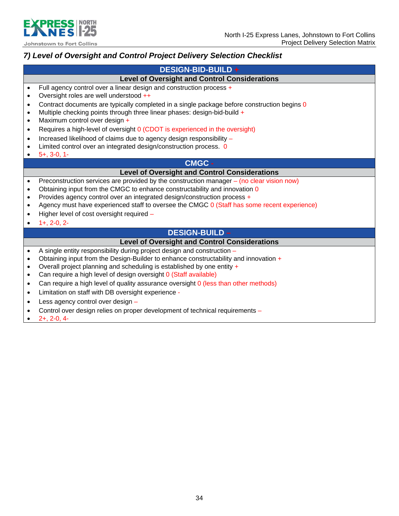

## *7) Level of Oversight and Control Project Delivery Selection Checklist*

|           | <b>DESIGN-BID-BUILD +</b>                                                                   |
|-----------|---------------------------------------------------------------------------------------------|
|           | <b>Level of Oversight and Control Considerations</b>                                        |
| $\bullet$ | Full agency control over a linear design and construction process +                         |
| $\bullet$ | Oversight roles are well understood ++                                                      |
| $\bullet$ | Contract documents are typically completed in a single package before construction begins 0 |
| $\bullet$ | Multiple checking points through three linear phases: design-bid-build +                    |
| $\bullet$ | Maximum control over design +                                                               |
| $\bullet$ | Requires a high-level of oversight 0 (CDOT is experienced in the oversight)                 |
| $\bullet$ | Increased likelihood of claims due to agency design responsibility -                        |
|           | Limited control over an integrated design/construction process. 0                           |
|           | $5+$ , 3-0, 1-                                                                              |
|           | <b>CMGC -</b>                                                                               |
|           | <b>Level of Oversight and Control Considerations</b>                                        |
| $\bullet$ | Preconstruction services are provided by the construction manager $-$ (no clear vision now) |
| $\bullet$ | Obtaining input from the CMGC to enhance constructability and innovation 0                  |
| $\bullet$ | Provides agency control over an integrated design/construction process +                    |
| $\bullet$ | Agency must have experienced staff to oversee the CMGC 0 (Staff has some recent experience) |
| $\bullet$ | Higher level of cost oversight required -                                                   |
|           | $1+, 2-0, 2-$                                                                               |
|           | <b>DESIGN-BUILD -</b>                                                                       |
|           | <b>Level of Oversight and Control Considerations</b>                                        |
| $\bullet$ | A single entity responsibility during project design and construction -                     |
| $\bullet$ | Obtaining input from the Design-Builder to enhance constructability and innovation +        |
| $\bullet$ | Overall project planning and scheduling is established by one entity +                      |
| $\bullet$ | Can require a high level of design oversight 0 (Staff available)                            |
| $\bullet$ | Can require a high level of quality assurance oversight 0 (less than other methods)         |
| $\bullet$ | Limitation on staff with DB oversight experience -                                          |
| $\bullet$ | Less agency control over design -                                                           |
|           | Control over design relies on proper development of technical requirements -                |
|           | $2+, 2-0, 4-$                                                                               |
|           |                                                                                             |